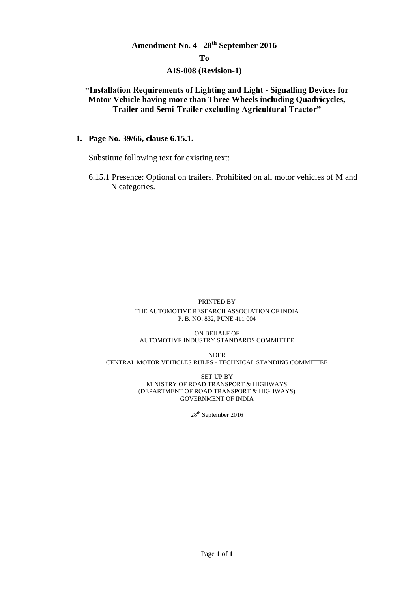# **Amendment No. 4 28th September 2016**

#### **To**

#### **AIS-008 (Revision-1)**

# **"Installation Requirements of Lighting and Light - Signalling Devices for Motor Vehicle having more than Three Wheels including Quadricycles, Trailer and Semi-Trailer excluding Agricultural Tractor"**

**1. Page No. 39/66, clause 6.15.1.**

Substitute following text for existing text:

6.15.1 Presence: Optional on trailers. Prohibited on all motor vehicles of M and N categories.

#### PRINTED BY

#### THE AUTOMOTIVE RESEARCH ASSOCIATION OF INDIA P. B. NO. 832, PUNE 411 004

#### ON BEHALF OF AUTOMOTIVE INDUSTRY STANDARDS COMMITTEE

NDER CENTRAL MOTOR VEHICLES RULES - TECHNICAL STANDING COMMITTEE

> SET-UP BY MINISTRY OF ROAD TRANSPORT & HIGHWAYS (DEPARTMENT OF ROAD TRANSPORT & HIGHWAYS) GOVERNMENT OF INDIA

> > 28<sup>th</sup> September 2016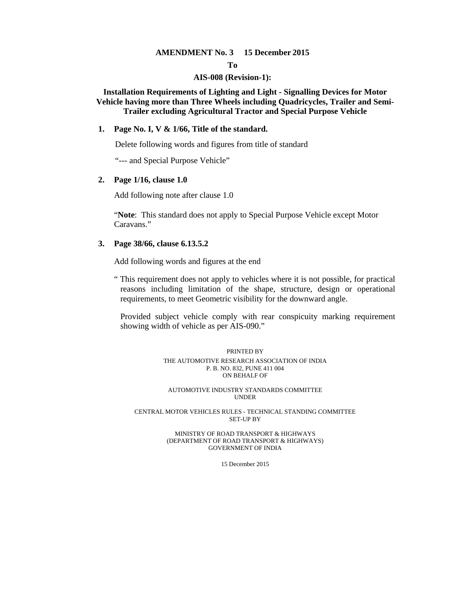#### **AMENDMENT No. 3 15 December 2015**

**To** 

#### **AIS-008 (Revision-1):**

**Installation Requirements of Lighting and Light - Signalling Devices for Motor Vehicle having more than Three Wheels including Quadricycles, Trailer and Semi-Trailer excluding Agricultural Tractor and Special Purpose Vehicle** 

#### **1. Page No. I, V & 1/66, Title of the standard.**

Delete following words and figures from title of standard

"--- and Special Purpose Vehicle"

#### **2. Page 1/16, clause 1.0**

Add following note after clause 1.0

"**Note**: This standard does not apply to Special Purpose Vehicle except Motor Caravans."

#### **3. Page 38/66, clause 6.13.5.2**

Add following words and figures at the end

" This requirement does not apply to vehicles where it is not possible, for practical reasons including limitation of the shape, structure, design or operational requirements, to meet Geometric visibility for the downward angle.

 Provided subject vehicle comply with rear conspicuity marking requirement showing width of vehicle as per AIS-090."

#### PRINTED BY THE AUTOMOTIVE RESEARCH ASSOCIATION OF INDIA P. B. NO. 832, PUNE 411 004 ON BEHALF OF

AUTOMOTIVE INDUSTRY STANDARDS COMMITTEE UNDER

CENTRAL MOTOR VEHICLES RULES - TECHNICAL STANDING COMMITTEE SET-UP BY

#### MINISTRY OF ROAD TRANSPORT & HIGHWAYS (DEPARTMENT OF ROAD TRANSPORT & HIGHWAYS) GOVERNMENT OF INDIA

15 December 2015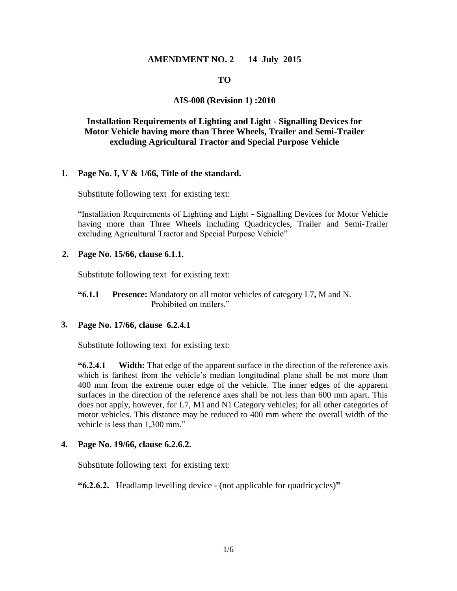#### **AMENDMENT NO. 2 14 July 2015**

#### **TO**

## **AIS-008 (Revision 1) :2010**

# **Installation Requirements of Lighting and Light - Signalling Devices for Motor Vehicle having more than Three Wheels, Trailer and Semi-Trailer excluding Agricultural Tractor and Special Purpose Vehicle**

#### **1. Page No. I, V & 1/66, Title of the standard.**

Substitute following text for existing text:

"Installation Requirements of Lighting and Light - Signalling Devices for Motor Vehicle having more than Three Wheels including Quadricycles, Trailer and Semi-Trailer excluding Agricultural Tractor and Special Purpose Vehicle"

#### **2. Page No. 15/66, clause 6.1.1.**

Substitute following text for existing text:

**"6.1.1 Presence:** Mandatory on all motor vehicles of category L7**,** M and N. Prohibited on trailers."

#### **3. Page No. 17/66, clause 6.2.4.1**

Substitute following text for existing text:

**"6.2.4.1 Width:** That edge of the apparent surface in the direction of the reference axis which is farthest from the vehicle's median longitudinal plane shall be not more than 400 mm from the extreme outer edge of the vehicle. The inner edges of the apparent surfaces in the direction of the reference axes shall be not less than 600 mm apart. This does not apply, however, for L7, M1 and N1 Category vehicles; for all other categories of motor vehicles. This distance may be reduced to 400 mm where the overall width of the vehicle is less than 1,300 mm."

#### **4. Page No. 19/66, clause 6.2.6.2.**

Substitute following text for existing text:

**"6.2.6.2.** Headlamp levelling device - (not applicable for quadricycles)**"**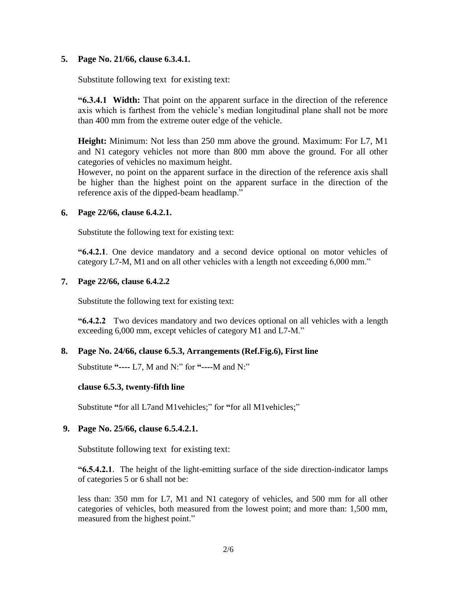#### **5. Page No. 21/66, clause 6.3.4.1.**

Substitute following text for existing text:

**"6.3.4.1 Width:** That point on the apparent surface in the direction of the reference axis which is farthest from the vehicle's median longitudinal plane shall not be more than 400 mm from the extreme outer edge of the vehicle.

**Height:** Minimum: Not less than 250 mm above the ground. Maximum: For L7, M1 and N1 category vehicles not more than 800 mm above the ground. For all other categories of vehicles no maximum height.

However, no point on the apparent surface in the direction of the reference axis shall be higher than the highest point on the apparent surface in the direction of the reference axis of the dipped-beam headlamp."

#### **6. Page 22/66, clause 6.4.2.1.**

Substitute the following text for existing text:

**"6.4.2.1**. One device mandatory and a second device optional on motor vehicles of category L7-M, M1 and on all other vehicles with a length not exceeding 6,000 mm."

#### **7. Page 22/66, clause 6.4.2.2**

Substitute the following text for existing text:

**"6.4.2.2** Two devices mandatory and two devices optional on all vehicles with a length exceeding 6,000 mm, except vehicles of category M1 and L7-M."

## **8. Page No. 24/66, clause 6.5.3, Arrangements (Ref.Fig.6), First line**

Substitute **"----** L7, M and N:" for **"----**M and N:"

## **clause 6.5.3, twenty-fifth line**

Substitute **"**for all L7and M1vehicles;" for **"**for all M1vehicles;"

#### **9. Page No. 25/66, clause 6.5.4.2.1.**

Substitute following text for existing text:

**"6.5.4.2.1**. The height of the light-emitting surface of the side direction-indicator lamps of categories 5 or 6 shall not be:

less than: 350 mm for L7, M1 and N1 category of vehicles, and 500 mm for all other categories of vehicles, both measured from the lowest point; and more than: 1,500 mm, measured from the highest point."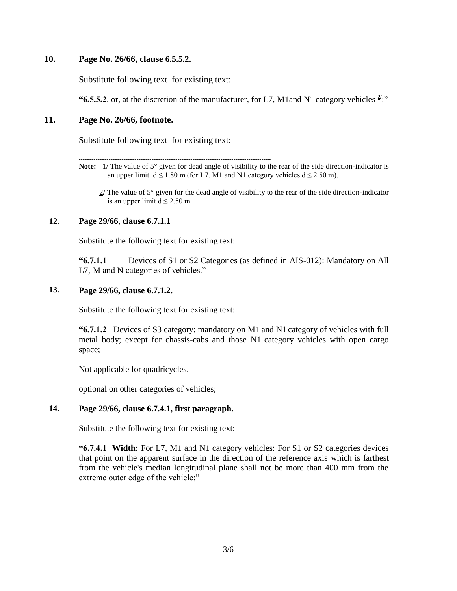#### **10. Page No. 26/66, clause 6.5.5.2.**

Substitute following text for existing text:

"**6.5.5.2**. or, at the discretion of the manufacturer, for L7, M1and N1 category vehicles  $\frac{2!}{1!}$ "

#### **11. Page No. 26/66, footnote.**

Substitute following text for existing text:

-------------------------------------------------------------------------------------------------------

**Note:** 1/ The value of 5° given for dead angle of visibility to the rear of the side direction-indicator is an upper limit.  $d \le 1.80$  m (for L7, M1 and N1 category vehicles  $d \le 2.50$  m).

 2**/** The value of 5° given for the dead angle of visibility to the rear of the side direction-indicator is an upper limit  $d \le 2.50$  m.

## **12. Page 29/66, clause 6.7.1.1**

Substitute the following text for existing text:

**"6.7.1.1** Devices of S1 or S2 Categories (as defined in AIS-012): Mandatory on All L7, M and N categories of vehicles."

#### **13. Page 29/66, clause 6.7.1.2.**

Substitute the following text for existing text:

**"6.7.1.2** Devices of S3 category: mandatory on M1 and N1 category of vehicles with full metal body; except for chassis-cabs and those N1 category vehicles with open cargo space;

Not applicable for quadricycles.

optional on other categories of vehicles;

## **14. Page 29/66, clause 6.7.4.1, first paragraph.**

Substitute the following text for existing text:

**"6.7.4.1 Width:** For L7, M1 and N1 category vehicles: For S1 or S2 categories devices that point on the apparent surface in the direction of the reference axis which is farthest from the vehicle's median longitudinal plane shall not be more than 400 mm from the extreme outer edge of the vehicle;"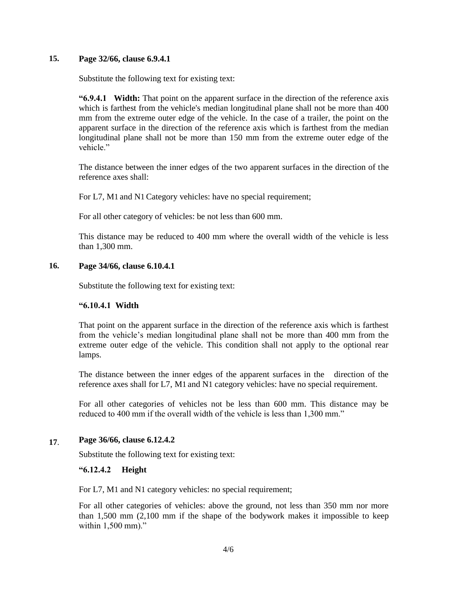#### **15. Page 32/66, clause 6.9.4.1**

Substitute the following text for existing text:

**"6.9.4.1 Width:** That point on the apparent surface in the direction of the reference axis which is farthest from the vehicle's median longitudinal plane shall not be more than 400 mm from the extreme outer edge of the vehicle. In the case of a trailer, the point on the apparent surface in the direction of the reference axis which is farthest from the median longitudinal plane shall not be more than 150 mm from the extreme outer edge of the vehicle."

The distance between the inner edges of the two apparent surfaces in the direction of the reference axes shall:

For L7, M1 and N1 Category vehicles: have no special requirement;

For all other category of vehicles: be not less than 600 mm.

This distance may be reduced to 400 mm where the overall width of the vehicle is less than 1,300 mm.

#### **16. Page 34/66, clause 6.10.4.1**

Substitute the following text for existing text:

#### **"6.10.4.1 Width**

That point on the apparent surface in the direction of the reference axis which is farthest from the vehicle's median longitudinal plane shall not be more than 400 mm from the extreme outer edge of the vehicle. This condition shall not apply to the optional rear lamps.

The distance between the inner edges of the apparent surfaces in the direction of the reference axes shall for L7, M1 and N1 category vehicles: have no special requirement.

For all other categories of vehicles not be less than 600 mm. This distance may be reduced to 400 mm if the overall width of the vehicle is less than 1,300 mm."

## **17**. **Page 36/66, clause 6.12.4.2**

Substitute the following text for existing text:

#### **"6.12.4.2 Height**

For L7, M1 and N1 category vehicles: no special requirement;

For all other categories of vehicles: above the ground, not less than 350 mm nor more than 1,500 mm (2,100 mm if the shape of the bodywork makes it impossible to keep within 1,500 mm)."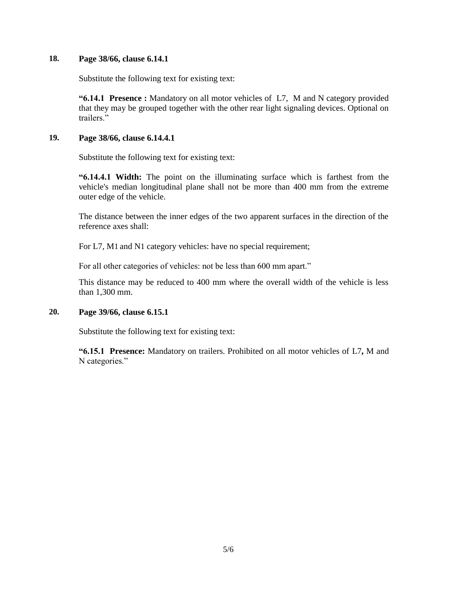#### **18. Page 38/66, clause 6.14.1**

Substitute the following text for existing text:

**"6.14.1 Presence :** Mandatory on all motor vehicles of L7, M and N category provided that they may be grouped together with the other rear light signaling devices. Optional on trailers."

#### **19. Page 38/66, clause 6.14.4.1**

Substitute the following text for existing text:

**"6.14.4.1 Width:** The point on the illuminating surface which is farthest from the vehicle's median longitudinal plane shall not be more than 400 mm from the extreme outer edge of the vehicle.

The distance between the inner edges of the two apparent surfaces in the direction of the reference axes shall:

For L7, M1 and N1 category vehicles: have no special requirement;

For all other categories of vehicles: not be less than 600 mm apart."

This distance may be reduced to 400 mm where the overall width of the vehicle is less than 1,300 mm.

# **20. Page 39/66, clause 6.15.1**

Substitute the following text for existing text:

**"6.15.1 Presence:** Mandatory on trailers. Prohibited on all motor vehicles of L7**,** M and N categories."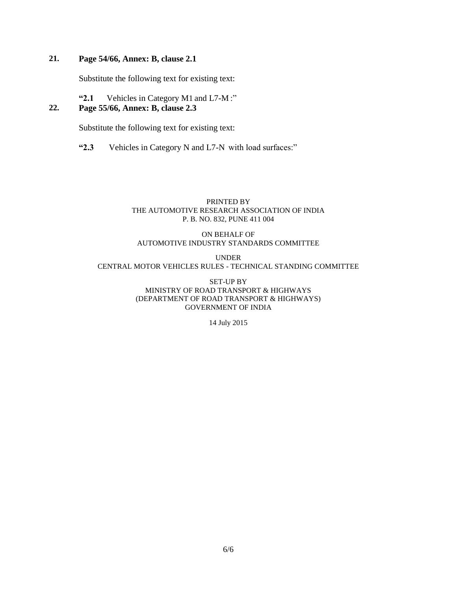# **21. Page 54/66, Annex: B, clause 2.1**

Substitute the following text for existing text:

#### **"2.1** Vehicles in Category M1 and L7-M :" **22. Page 55/66, Annex: B, clause 2.3**

Substitute the following text for existing text:

**"2.3** Vehicles in Category N and L7-N with load surfaces:"

#### PRINTED BY THE AUTOMOTIVE RESEARCH ASSOCIATION OF INDIA P. B. NO. 832, PUNE 411 004

#### ON BEHALF OF AUTOMOTIVE INDUSTRY STANDARDS COMMITTEE

UNDER CENTRAL MOTOR VEHICLES RULES - TECHNICAL STANDING COMMITTEE

> SET-UP BY MINISTRY OF ROAD TRANSPORT & HIGHWAYS (DEPARTMENT OF ROAD TRANSPORT & HIGHWAYS) GOVERNMENT OF INDIA

> > 14 July 2015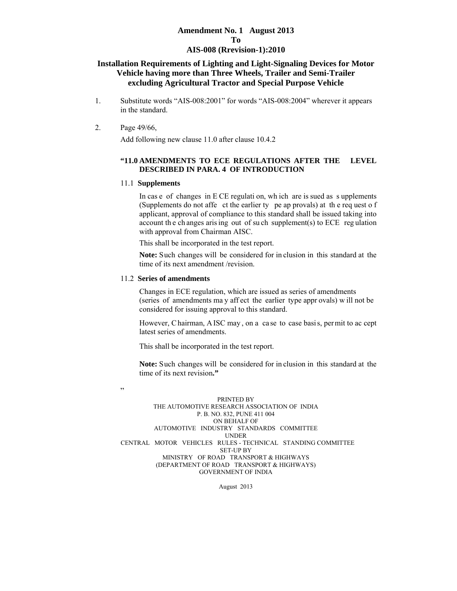#### **Amendment No. 1 August 2013 To AIS-008 (Rrevision-1):2010**

#### **Installation Requirements of Lighting and Light-Signaling Devices for Motor Vehicle having more than Three Wheels, Trailer and Semi-Trailer excluding Agricultural Tractor and Special Purpose Vehicle**

- 1. Substitute words "AIS-008:2001" for words "AIS-008:2004" wherever it appears in the standard.
- 2. Page 49/66,

"

Add following new clause 11.0 after clause 10.4.2

#### **"11.0 AMENDMENTS TO ECE REGULATIONS AFTER THE LEVEL DESCRIBED IN PARA. 4 OF INTRODUCTION**

#### 11.1 **Supplements**

In cas e of changes in E CE regulati on, wh ich are is sued as s upplements (Supplements do not affe ct the earlier ty pe ap provals) at th e req uest o f applicant, approval of compliance to this standard shall be issued taking into account th e ch anges aris ing out of su ch supplement(s) to ECE reg ulation with approval from Chairman AISC.

This shall be incorporated in the test report.

**Note:** Such changes will be considered for in clusion in this standard at the time of its next amendment /revision.

#### 11.2 **Series of amendments**

Changes in ECE regulation, which are issued as series of amendments (series of amendments ma y aff ect the earlier type appr ovals) w ill not be considered for issuing approval to this standard.

However, C hairman, A ISC may , on a ca se to case basi s, per mit to ac cept latest series of amendments.

This shall be incorporated in the test report.

**Note:** Such changes will be considered for in clusion in this standard at the time of its next revision**."** 

PRINTED BY THE AUTOMOTIVE RESEARCH ASSOCIATION OF INDIA P. B. NO. 832, PUNE 411 004 ON BEHALF OF AUTOMOTIVE INDUSTRY STANDARDS COMMITTEE UNDER CENTRAL MOTOR VEHICLES RULES - TECHNICAL STANDING COMMITTEE SET-UP BY MINISTRY OF ROAD TRANSPORT & HIGHWAYS (DEPARTMENT OF ROAD TRANSPORT & HIGHWAYS) GOVERNMENT OF INDIA

August 2013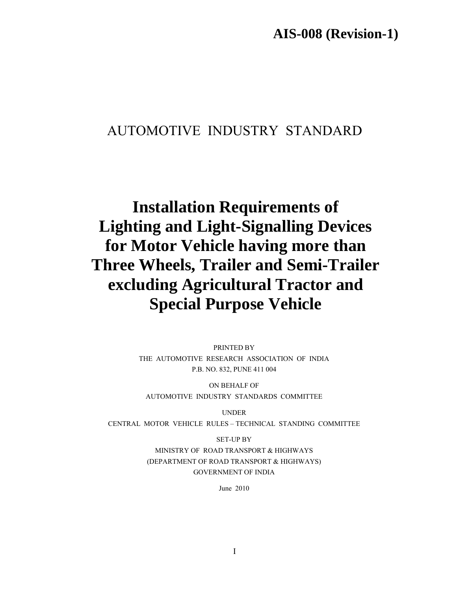**AIS-008 (Revision-1)** 

# AUTOMOTIVE INDUSTRY STANDARD

**Installation Requirements of Lighting and Light-Signalling Devices for Motor Vehicle having more than Three Wheels, Trailer and Semi-Trailer excluding Agricultural Tractor and Special Purpose Vehicle** 

> PRINTED BY THE AUTOMOTIVE RESEARCH ASSOCIATION OF INDIA P.B. NO. 832, PUNE 411 004

ON BEHALF OF AUTOMOTIVE INDUSTRY STANDARDS COMMITTEE

UNDER

CENTRAL MOTOR VEHICLE RULES – TECHNICAL STANDING COMMITTEE

SET-UP BY MINISTRY OF ROAD TRANSPORT & HIGHWAYS (DEPARTMENT OF ROAD TRANSPORT & HIGHWAYS) GOVERNMENT OF INDIA

June 2010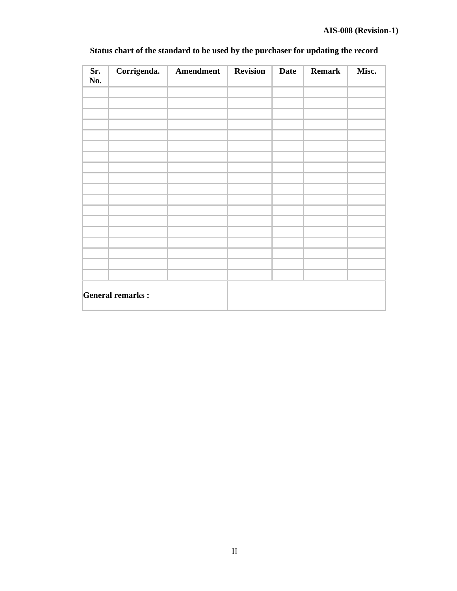| Sr.<br>No. | Corrigenda.             | Amendment | <b>Revision</b> | <b>Date</b> | <b>Remark</b> | Misc. |
|------------|-------------------------|-----------|-----------------|-------------|---------------|-------|
|            |                         |           |                 |             |               |       |
|            |                         |           |                 |             |               |       |
|            |                         |           |                 |             |               |       |
|            |                         |           |                 |             |               |       |
|            |                         |           |                 |             |               |       |
|            |                         |           |                 |             |               |       |
|            |                         |           |                 |             |               |       |
|            |                         |           |                 |             |               |       |
|            |                         |           |                 |             |               |       |
|            |                         |           |                 |             |               |       |
|            |                         |           |                 |             |               |       |
|            |                         |           |                 |             |               |       |
|            |                         |           |                 |             |               |       |
|            |                         |           |                 |             |               |       |
|            | <b>General remarks:</b> |           |                 |             |               |       |

# **Status chart of the standard to be used by the purchaser for updating the record**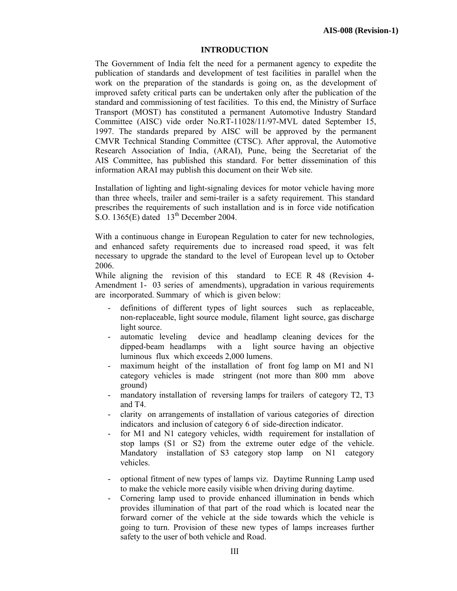#### **INTRODUCTION**

The Government of India felt the need for a permanent agency to expedite the publication of standards and development of test facilities in parallel when the work on the preparation of the standards is going on, as the development of improved safety critical parts can be undertaken only after the publication of the standard and commissioning of test facilities. To this end, the Ministry of Surface Transport (MOST) has constituted a permanent Automotive Industry Standard Committee (AISC) vide order No.RT-11028/11/97-MVL dated September 15, 1997. The standards prepared by AISC will be approved by the permanent CMVR Technical Standing Committee (CTSC). After approval, the Automotive Research Association of India, (ARAI), Pune, being the Secretariat of the AIS Committee, has published this standard. For better dissemination of this information ARAI may publish this document on their Web site.

Installation of lighting and light-signaling devices for motor vehicle having more than three wheels, trailer and semi-trailer is a safety requirement. This standard prescribes the requirements of such installation and is in force vide notification S.O. 1365(E) dated  $13<sup>th</sup>$  December 2004.

With a continuous change in European Regulation to cater for new technologies, and enhanced safety requirements due to increased road speed, it was felt necessary to upgrade the standard to the level of European level up to October 2006.

While aligning the revision of this standard to ECE R 48 (Revision 4- Amendment 1- 03 series of amendments), upgradation in various requirements are incorporated. Summary of which is given below:

- definitions of different types of light sources such as replaceable, non-replaceable, light source module, filament light source, gas discharge light source.
- automatic leveling device and headlamp cleaning devices for the dipped-beam headlamps with a light source having an objective luminous flux which exceeds 2,000 lumens.
- maximum height of the installation of front fog lamp on M1 and N1 category vehicles is made stringent (not more than 800 mm above ground)
- mandatory installation of reversing lamps for trailers of category T2, T3 and T4.
- clarity on arrangements of installation of various categories of direction indicators and inclusion of category 6 of side-direction indicator.
- for M1 and N1 category vehicles, width requirement for installation of stop lamps (S1 or S2) from the extreme outer edge of the vehicle. Mandatory installation of S3 category stop lamp on N1 category vehicles.
- optional fitment of new types of lamps viz. Daytime Running Lamp used to make the vehicle more easily visible when driving during daytime.
- Cornering lamp used to provide enhanced illumination in bends which provides illumination of that part of the road which is located near the forward corner of the vehicle at the side towards which the vehicle is going to turn. Provision of these new types of lamps increases further safety to the user of both vehicle and Road.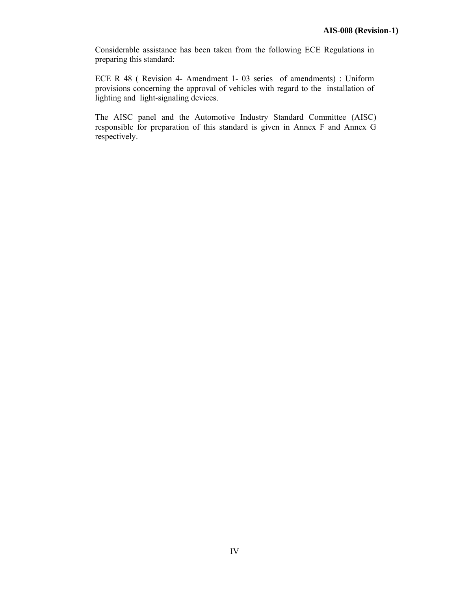Considerable assistance has been taken from the following ECE Regulations in preparing this standard:

ECE R 48 ( Revision 4- Amendment 1- 03 series of amendments) : Uniform provisions concerning the approval of vehicles with regard to the installation of lighting and light-signaling devices.

The AISC panel and the Automotive Industry Standard Committee (AISC) responsible for preparation of this standard is given in Annex F and Annex G respectively.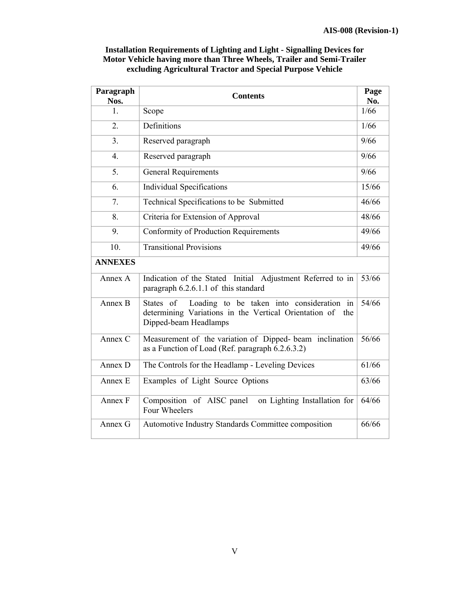| Paragraph<br>Nos. | <b>Contents</b>                                                                                                                                 | Page<br>No. |  |
|-------------------|-------------------------------------------------------------------------------------------------------------------------------------------------|-------------|--|
| 1 <sub>1</sub>    | Scope                                                                                                                                           |             |  |
| $\overline{2}$ .  | Definitions                                                                                                                                     | 1/66        |  |
| 3.                | Reserved paragraph                                                                                                                              | 9/66        |  |
| $\overline{4}$ .  | Reserved paragraph                                                                                                                              | 9/66        |  |
| 5.                | <b>General Requirements</b>                                                                                                                     |             |  |
| 6.                | <b>Individual Specifications</b>                                                                                                                |             |  |
| 7.                | Technical Specifications to be Submitted                                                                                                        |             |  |
| 8.                | Criteria for Extension of Approval                                                                                                              |             |  |
| 9.                | Conformity of Production Requirements                                                                                                           |             |  |
| 10.               | <b>Transitional Provisions</b>                                                                                                                  | 49/66       |  |
| <b>ANNEXES</b>    |                                                                                                                                                 |             |  |
| Annex A           | Indication of the Stated Initial Adjustment Referred to in<br>paragraph 6.2.6.1.1 of this standard                                              |             |  |
| Annex B           | Loading to be taken into consideration in<br>States of<br>determining Variations in the Vertical Orientation of<br>the<br>Dipped-beam Headlamps |             |  |
| Annex C           | Measurement of the variation of Dipped-beam inclination<br>as a Function of Load (Ref. paragraph 6.2.6.3.2)                                     |             |  |
| Annex D           | The Controls for the Headlamp - Leveling Devices                                                                                                | 61/66       |  |
| Annex E           | Examples of Light Source Options                                                                                                                |             |  |
| Annex F           | Composition of AISC panel<br>on Lighting Installation for<br>Four Wheelers                                                                      |             |  |
| Annex G           | Automotive Industry Standards Committee composition                                                                                             | 66/66       |  |

# **Installation Requirements of Lighting and Light - Signalling Devices for Motor Vehicle having more than Three Wheels, Trailer and Semi-Trailer excluding Agricultural Tractor and Special Purpose Vehicle**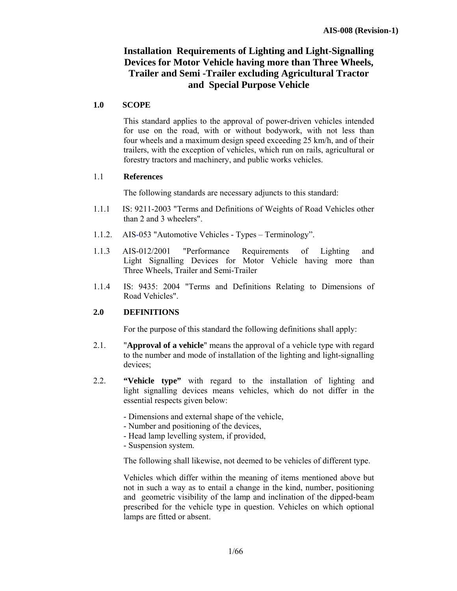# **Installation Requirements of Lighting and Light-Signalling Devices for Motor Vehicle having more than Three Wheels, Trailer and Semi -Trailer excluding Agricultural Tractor and Special Purpose Vehicle**

#### **1.0 SCOPE**

 This standard applies to the approval of power-driven vehicles intended for use on the road, with or without bodywork, with not less than four wheels and a maximum design speed exceeding 25 km/h, and of their trailers, with the exception of vehicles, which run on rails, agricultural or forestry tractors and machinery, and public works vehicles.

#### 1.1 **References**

The following standards are necessary adjuncts to this standard:

- 1.1.1 IS: 9211-2003 "Terms and Definitions of Weights of Road Vehicles other than 2 and 3 wheelers".
- 1.1.2. AIS-053 "Automotive Vehicles Types Terminology".
- 1.1.3 AIS-012/2001 "Performance Requirements of Lighting and Light Signalling Devices for Motor Vehicle having more than Three Wheels, Trailer and Semi-Trailer
- 1.1.4 IS: 9435: 2004 "Terms and Definitions Relating to Dimensions of Road Vehicles".

## **2.0 DEFINITIONS**

For the purpose of this standard the following definitions shall apply:

- 2.1. "**Approval of a vehicle**" means the approval of a vehicle type with regard to the number and mode of installation of the lighting and light-signalling devices;
- 2.2. **"Vehicle type"** with regard to the installation of lighting and light signalling devices means vehicles, which do not differ in the essential respects given below:
	- Dimensions and external shape of the vehicle,
	- Number and positioning of the devices,
	- Head lamp levelling system, if provided,
	- Suspension system.

The following shall likewise, not deemed to be vehicles of different type.

 Vehicles which differ within the meaning of items mentioned above but not in such a way as to entail a change in the kind, number, positioning and geometric visibility of the lamp and inclination of the dipped-beam prescribed for the vehicle type in question. Vehicles on which optional lamps are fitted or absent.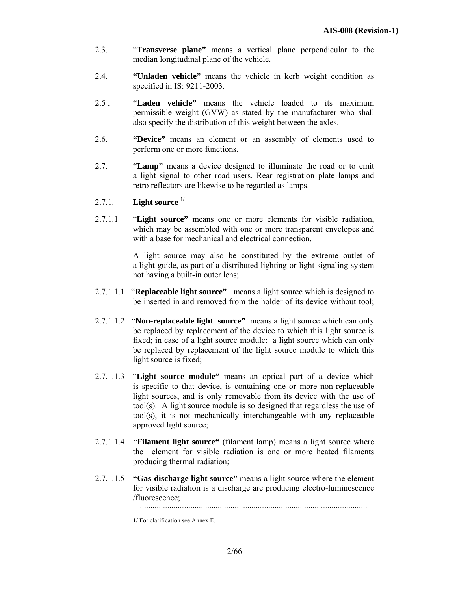- 2.3. "**Transverse plane"** means a vertical plane perpendicular to the median longitudinal plane of the vehicle.
- 2.4. **"Unladen vehicle"** means the vehicle in kerb weight condition as specified in IS: 9211-2003.
- 2.5 . **"Laden vehicle"** means the vehicle loaded to its maximum permissible weight (GVW) as stated by the manufacturer who shall also specify the distribution of this weight between the axles.
- 2.6. **"Device"** means an element or an assembly of elements used to perform one or more functions.
- 2.7. **"Lamp"** means a device designed to illuminate the road or to emit a light signal to other road users. Rear registration plate lamps and retro reflectors are likewise to be regarded as lamps.
- 2.7.1. **Light source**  $\frac{1}{2}$
- 2.7.1.1 "**Light source"** means one or more elements for visible radiation, which may be assembled with one or more transparent envelopes and with a base for mechanical and electrical connection.

 A light source may also be constituted by the extreme outlet of a light-guide, as part of a distributed lighting or light-signaling system not having a built-in outer lens;

- 2.7.1.1.1 "**Replaceable light source"** means a light source which is designed to be inserted in and removed from the holder of its device without tool;
- 2.7.1.1.2 "**Non-replaceable light source"** means a light source which can only be replaced by replacement of the device to which this light source is fixed; in case of a light source module: a light source which can only be replaced by replacement of the light source module to which this light source is fixed;
- 2.7.1.1.3 "**Light source module"** means an optical part of a device which is specific to that device, is containing one or more non-replaceable light sources, and is only removable from its device with the use of tool(s). A light source module is so designed that regardless the use of tool(s), it is not mechanically interchangeable with any replaceable approved light source;
- 2.7.1.1.4 "**Filament light source"** (filament lamp) means a light source where the element for visible radiation is one or more heated filaments producing thermal radiation;
- 2.7.1.1.5 **"Gas-discharge light source"** means a light source where the element for visible radiation is a discharge arc producing electro-luminescence /fluorescence;

………………………………………………………………………………………………

<sup>1/</sup> For clarification see Annex E.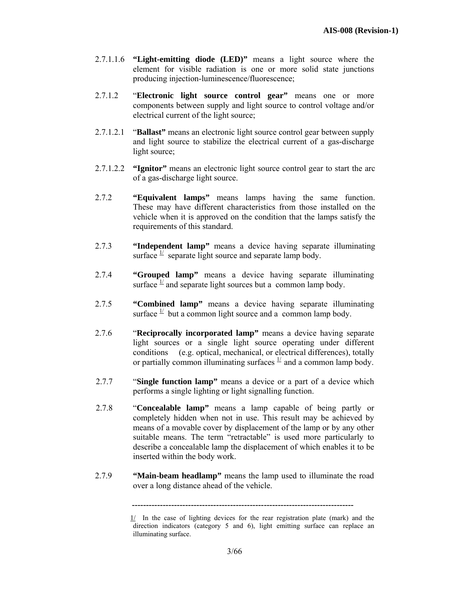- 2.7.1.1.6 **"Light-emitting diode (LED)"** means a light source where the element for visible radiation is one or more solid state junctions producing injection-luminescence/fluorescence;
- 2.7.1.2 "**Electronic light source control gear"** means one or more components between supply and light source to control voltage and/or electrical current of the light source;
- 2.7.1.2.1 "**Ballast"** means an electronic light source control gear between supply and light source to stabilize the electrical current of a gas-discharge light source;
- 2.7.1.2.2 **"Ignitor"** means an electronic light source control gear to start the arc of a gas-discharge light source.
- 2.7.2 **"Equivalent lamps"** means lamps having the same function. These may have different characteristics from those installed on the vehicle when it is approved on the condition that the lamps satisfy the requirements of this standard.
- 2.7.3 **"Independent lamp"** means a device having separate illuminating surface  $\frac{1}{2}$  separate light source and separate lamp body.
- 2.7.4 **"Grouped lamp"** means a device having separate illuminating surface  $\frac{1}{2}$  and separate light sources but a common lamp body.
- 2.7.5 **"Combined lamp"** means a device having separate illuminating surface  $\frac{1}{x}$  but a common light source and a common lamp body.
- 2.7.6 "**Reciprocally incorporated lamp"** means a device having separate light sources or a single light source operating under different conditions (e.g. optical, mechanical, or electrical differences), totally or partially common illuminating surfaces  $\frac{1}{x}$  and a common lamp body.
- 2.7.7 "**Single function lamp"** means a device or a part of a device which performs a single lighting or light signalling function.
- 2.7.8 "**Concealable lamp"** means a lamp capable of being partly or completely hidden when not in use. This result may be achieved by means of a movable cover by displacement of the lamp or by any other suitable means. The term "retractable" is used more particularly to describe a concealable lamp the displacement of which enables it to be inserted within the body work.
- 2.7.9 **"Main-beam headlamp"** means the lamp used to illuminate the road over a long distance ahead of the vehicle.

 **<sup>-------------------------------------------------------------------------------</sup>** 

 $1/$  In the case of lighting devices for the rear registration plate (mark) and the direction indicators (category 5 and 6), light emitting surface can replace an illuminating surface.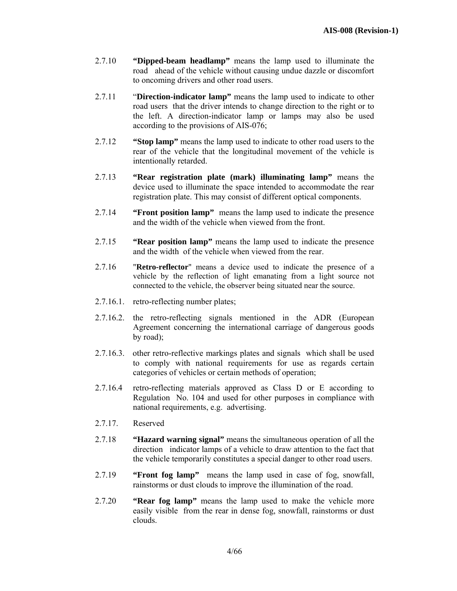- 2.7.10 **"Dipped-beam headlamp"** means the lamp used to illuminate the road ahead of the vehicle without causing undue dazzle or discomfort to oncoming drivers and other road users.
- 2.7.11 "**Direction-indicator lamp"** means the lamp used to indicate to other road users that the driver intends to change direction to the right or to the left. A direction-indicator lamp or lamps may also be used according to the provisions of AIS-076;
- 2.7.12 **"Stop lamp"** means the lamp used to indicate to other road users to the rear of the vehicle that the longitudinal movement of the vehicle is intentionally retarded.
- 2.7.13 **"Rear registration plate (mark) illuminating lamp"** means the device used to illuminate the space intended to accommodate the rear registration plate. This may consist of different optical components.
- 2.7.14 **"Front position lamp"** means the lamp used to indicate the presence and the width of the vehicle when viewed from the front.
- 2.7.15 **"Rear position lamp"** means the lamp used to indicate the presence and the width of the vehicle when viewed from the rear.
- 2.7.16 "**Retro-reflector**" means a device used to indicate the presence of a vehicle by the reflection of light emanating from a light source not connected to the vehicle, the observer being situated near the source.
- 2.7.16.1. retro-reflecting number plates;
- 2.7.16.2. the retro-reflecting signals mentioned in the ADR (European Agreement concerning the international carriage of dangerous goods by road);
- 2.7.16.3. other retro-reflective markings plates and signals which shall be used to comply with national requirements for use as regards certain categories of vehicles or certain methods of operation;
- 2.7.16.4 retro-reflecting materials approved as Class D or E according to Regulation No. 104 and used for other purposes in compliance with national requirements, e.g. advertising.
- 2.7.17. Reserved
- 2.7.18 **"Hazard warning signal"** means the simultaneous operation of all the direction indicator lamps of a vehicle to draw attention to the fact that the vehicle temporarily constitutes a special danger to other road users.
- 2.7.19 **"Front fog lamp"** means the lamp used in case of fog, snowfall, rainstorms or dust clouds to improve the illumination of the road.
- 2.7.20 **"Rear fog lamp"** means the lamp used to make the vehicle more easily visible from the rear in dense fog, snowfall, rainstorms or dust clouds.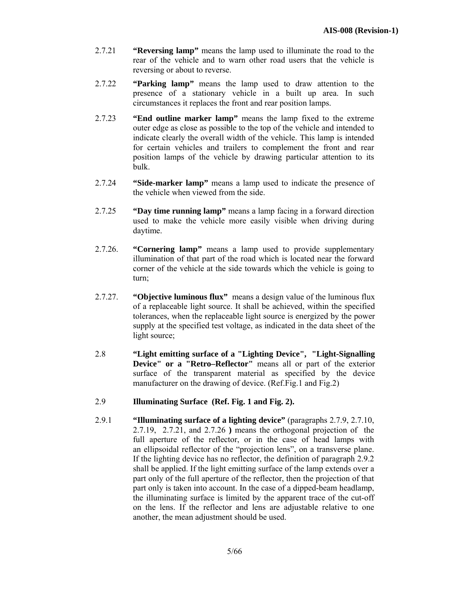- 2.7.21 **"Reversing lamp"** means the lamp used to illuminate the road to the rear of the vehicle and to warn other road users that the vehicle is reversing or about to reverse.
- 2.7.22 **"Parking lamp"** means the lamp used to draw attention to the presence of a stationary vehicle in a built up area. In such circumstances it replaces the front and rear position lamps.
- 2.7.23 **"End outline marker lamp"** means the lamp fixed to the extreme outer edge as close as possible to the top of the vehicle and intended to indicate clearly the overall width of the vehicle. This lamp is intended for certain vehicles and trailers to complement the front and rear position lamps of the vehicle by drawing particular attention to its bulk.
- 2.7.24 **"Side-marker lamp"** means a lamp used to indicate the presence of the vehicle when viewed from the side.
- 2.7.25 **"Day time running lamp"** means a lamp facing in a forward direction used to make the vehicle more easily visible when driving during daytime.
- 2.7.26. **"Cornering lamp"** means a lamp used to provide supplementary illumination of that part of the road which is located near the forward corner of the vehicle at the side towards which the vehicle is going to turn;
- 2.7.27. **"Objective luminous flux"** means a design value of the luminous flux of a replaceable light source. It shall be achieved, within the specified tolerances, when the replaceable light source is energized by the power supply at the specified test voltage, as indicated in the data sheet of the light source;
- 2.8 **"Light emitting surface of a "Lighting Device", "Light-Signalling Device" or a "Retro–Reflector"** means all or part of the exterior surface of the transparent material as specified by the device manufacturer on the drawing of device. (Ref.Fig.1 and Fig.2)
- 2.9 **Illuminating Surface (Ref. Fig. 1 and Fig. 2).**
- 2.9.1 **"Illuminating surface of a lighting device"** (paragraphs 2.7.9, 2.7.10, 2.7.19, 2.7.21, and 2.7.26 **)** means the orthogonal projection of the full aperture of the reflector, or in the case of head lamps with an ellipsoidal reflector of the "projection lens", on a transverse plane. If the lighting device has no reflector, the definition of paragraph 2.9.2 shall be applied. If the light emitting surface of the lamp extends over a part only of the full aperture of the reflector, then the projection of that part only is taken into account. In the case of a dipped-beam headlamp, the illuminating surface is limited by the apparent trace of the cut-off on the lens. If the reflector and lens are adjustable relative to one another, the mean adjustment should be used.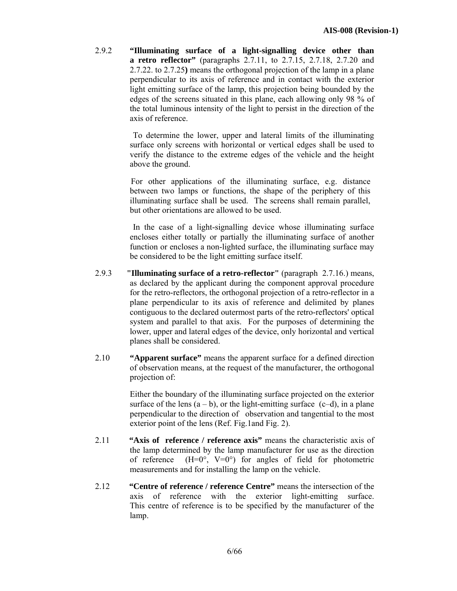2.9.2 **"Illuminating surface of a light-signalling device other than a retro reflector"** (paragraphs 2.7.11, to 2.7.15, 2.7.18, 2.7.20 and 2.7.22. to 2.7.25**)** means the orthogonal projection of the lamp in a plane perpendicular to its axis of reference and in contact with the exterior light emitting surface of the lamp, this projection being bounded by the edges of the screens situated in this plane, each allowing only 98 % of the total luminous intensity of the light to persist in the direction of the axis of reference.

> To determine the lower, upper and lateral limits of the illuminating surface only screens with horizontal or vertical edges shall be used to verify the distance to the extreme edges of the vehicle and the height above the ground.

 For other applications of the illuminating surface, e.g. distance between two lamps or functions, the shape of the periphery of this illuminating surface shall be used. The screens shall remain parallel, but other orientations are allowed to be used.

 In the case of a light-signalling device whose illuminating surface encloses either totally or partially the illuminating surface of another function or encloses a non-lighted surface, the illuminating surface may be considered to be the light emitting surface itself.

- 2.9.3 **"Illuminating surface of a retro-reflector"** (paragraph 2.7.16.) means, as declared by the applicant during the component approval procedure for the retro-reflectors, the orthogonal projection of a retro-reflector in a plane perpendicular to its axis of reference and delimited by planes contiguous to the declared outermost parts of the retro-reflectors' optical system and parallel to that axis. For the purposes of determining the lower, upper and lateral edges of the device, only horizontal and vertical planes shall be considered.
- 2.10 **"Apparent surface"** means the apparent surface for a defined direction of observation means, at the request of the manufacturer, the orthogonal projection of:

 Either the boundary of the illuminating surface projected on the exterior surface of the lens  $(a - b)$ , or the light-emitting surface  $(c-d)$ , in a plane perpendicular to the direction of observation and tangential to the most exterior point of the lens (Ref. Fig.1and Fig. 2).

- 2.11 **"Axis of reference / reference axis"** means the characteristic axis of the lamp determined by the lamp manufacturer for use as the direction of reference  $(H=0^{\circ}, V=0^{\circ})$  for angles of field for photometric measurements and for installing the lamp on the vehicle.
- 2.12 **"Centre of reference / reference Centre"** means the intersection of the axis of reference with the exterior light-emitting surface. This centre of reference is to be specified by the manufacturer of the lamp.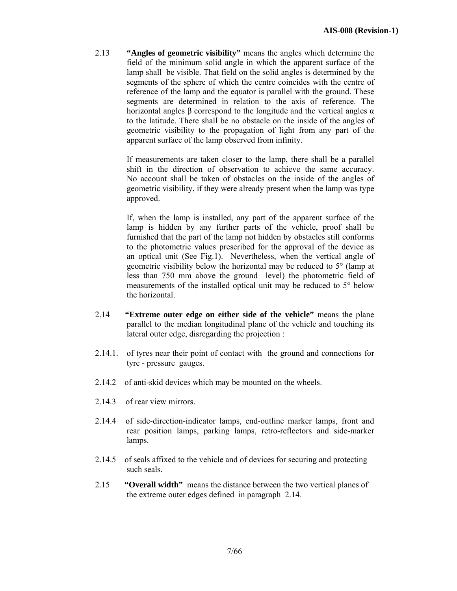2.13 **"Angles of geometric visibility"** means the angles which determine the field of the minimum solid angle in which the apparent surface of the lamp shall be visible. That field on the solid angles is determined by the segments of the sphere of which the centre coincides with the centre of reference of the lamp and the equator is parallel with the ground. These segments are determined in relation to the axis of reference. The horizontal angles β correspond to the longitude and the vertical angles  $α$ to the latitude. There shall be no obstacle on the inside of the angles of geometric visibility to the propagation of light from any part of the apparent surface of the lamp observed from infinity.

> If measurements are taken closer to the lamp, there shall be a parallel shift in the direction of observation to achieve the same accuracy. No account shall be taken of obstacles on the inside of the angles of geometric visibility, if they were already present when the lamp was type approved.

> If, when the lamp is installed, any part of the apparent surface of the lamp is hidden by any further parts of the vehicle, proof shall be furnished that the part of the lamp not hidden by obstacles still conforms to the photometric values prescribed for the approval of the device as an optical unit (See Fig.1). Nevertheless, when the vertical angle of geometric visibility below the horizontal may be reduced to 5° (lamp at less than 750 mm above the ground level) the photometric field of measurements of the installed optical unit may be reduced to 5° below the horizontal.

- 2.14 **"Extreme outer edge on either side of the vehicle"** means the plane parallel to the median longitudinal plane of the vehicle and touching its lateral outer edge, disregarding the projection :
- 2.14.1. of tyres near their point of contact with the ground and connections for tyre - pressure gauges.
- 2.14.2 of anti-skid devices which may be mounted on the wheels.
- 2.14.3 of rear view mirrors.
- 2.14.4 of side-direction-indicator lamps, end-outline marker lamps, front and rear position lamps, parking lamps, retro-reflectors and side-marker lamps.
- 2.14.5 of seals affixed to the vehicle and of devices for securing and protecting such seals.
- 2.15 **"Overall width"** means the distance between the two vertical planes of the extreme outer edges defined in paragraph 2.14.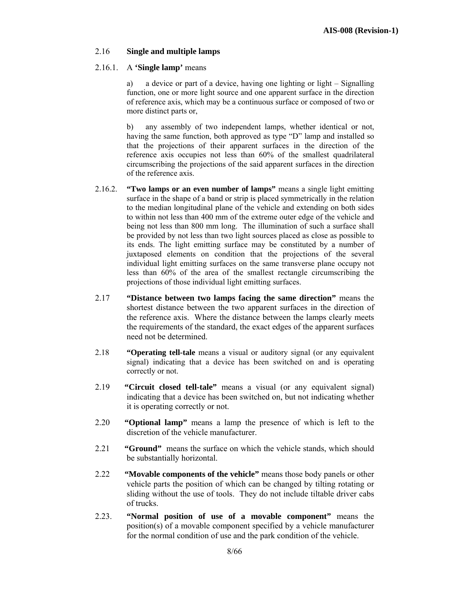#### 2.16 **Single and multiple lamps**

#### 2.16.1. A **'Single lamp'** means

a) a device or part of a device, having one lighting or light – Signalling function, one or more light source and one apparent surface in the direction of reference axis, which may be a continuous surface or composed of two or more distinct parts or,

b) any assembly of two independent lamps, whether identical or not, having the same function, both approved as type "D" lamp and installed so that the projections of their apparent surfaces in the direction of the reference axis occupies not less than 60% of the smallest quadrilateral circumscribing the projections of the said apparent surfaces in the direction of the reference axis.

- 2.16.2. **"Two lamps or an even number of lamps"** means a single light emitting surface in the shape of a band or strip is placed symmetrically in the relation to the median longitudinal plane of the vehicle and extending on both sides to within not less than 400 mm of the extreme outer edge of the vehicle and being not less than 800 mm long. The illumination of such a surface shall be provided by not less than two light sources placed as close as possible to its ends. The light emitting surface may be constituted by a number of juxtaposed elements on condition that the projections of the several individual light emitting surfaces on the same transverse plane occupy not less than 60% of the area of the smallest rectangle circumscribing the projections of those individual light emitting surfaces.
- 2.17 **"Distance between two lamps facing the same direction"** means the shortest distance between the two apparent surfaces in the direction of the reference axis. Where the distance between the lamps clearly meets the requirements of the standard, the exact edges of the apparent surfaces need not be determined.
- 2.18 **"Operating tell-tale** means a visual or auditory signal (or any equivalent signal) indicating that a device has been switched on and is operating correctly or not.
- 2.19 **"Circuit closed tell-tale"** means a visual (or any equivalent signal) indicating that a device has been switched on, but not indicating whether it is operating correctly or not.
- 2.20 **"Optional lamp"** means a lamp the presence of which is left to the discretion of the vehicle manufacturer.
- 2.21 **"Ground"** means the surface on which the vehicle stands, which should be substantially horizontal.
- 2.22 **"Movable components of the vehicle"** means those body panels or other vehicle parts the position of which can be changed by tilting rotating or sliding without the use of tools. They do not include tiltable driver cabs of trucks.
- 2.23. **"Normal position of use of a movable component"** means the position(s) of a movable component specified by a vehicle manufacturer for the normal condition of use and the park condition of the vehicle.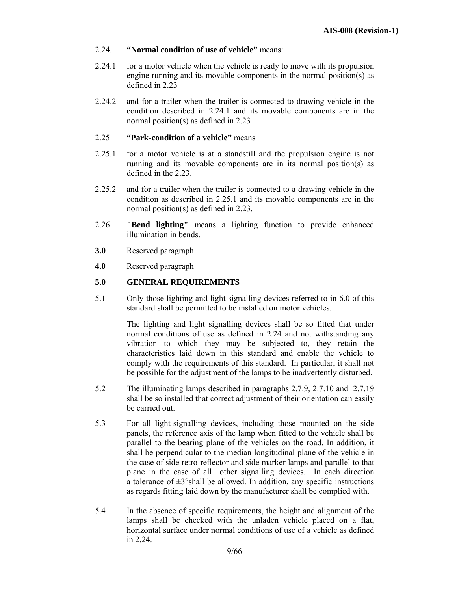- 2.24. **"Normal condition of use of vehicle"** means:
- 2.24.1 for a motor vehicle when the vehicle is ready to move with its propulsion engine running and its movable components in the normal position(s) as defined in 2.23
- 2.24.2 and for a trailer when the trailer is connected to drawing vehicle in the condition described in 2.24.1 and its movable components are in the normal position(s) as defined in 2.23

# 2.25 **"Park-condition of a vehicle"** means

- 2.25.1 for a motor vehicle is at a standstill and the propulsion engine is not running and its movable components are in its normal position(s) as defined in the 2.23.
- 2.25.2 and for a trailer when the trailer is connected to a drawing vehicle in the condition as described in 2.25.1 and its movable components are in the normal position(s) as defined in 2.23.
- 2.26 **"Bend lighting"** means a lighting function to provide enhanced illumination in bends.
- **3.0** Reserved paragraph
- **4.0** Reserved paragraph

#### **5.0 GENERAL REQUIREMENTS**

5.1 Only those lighting and light signalling devices referred to in 6.0 of this standard shall be permitted to be installed on motor vehicles.

> The lighting and light signalling devices shall be so fitted that under normal conditions of use as defined in 2.24 and not withstanding any vibration to which they may be subjected to, they retain the characteristics laid down in this standard and enable the vehicle to comply with the requirements of this standard. In particular, it shall not be possible for the adjustment of the lamps to be inadvertently disturbed.

- 5.2 The illuminating lamps described in paragraphs 2.7.9, 2.7.10 and 2.7.19 shall be so installed that correct adjustment of their orientation can easily be carried out.
- 5.3 For all light-signalling devices, including those mounted on the side panels, the reference axis of the lamp when fitted to the vehicle shall be parallel to the bearing plane of the vehicles on the road. In addition, it shall be perpendicular to the median longitudinal plane of the vehicle in the case of side retro-reflector and side marker lamps and parallel to that plane in the case of all other signalling devices. In each direction a tolerance of  $\pm 3^{\circ}$ shall be allowed. In addition, any specific instructions as regards fitting laid down by the manufacturer shall be complied with.
- 5.4 In the absence of specific requirements, the height and alignment of the lamps shall be checked with the unladen vehicle placed on a flat, horizontal surface under normal conditions of use of a vehicle as defined in 2.24.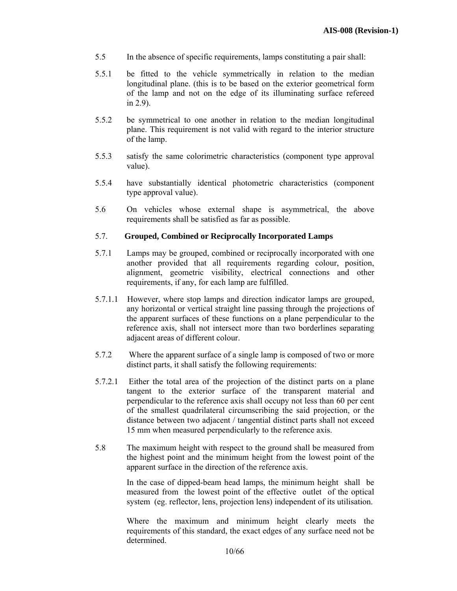- 5.5 In the absence of specific requirements, lamps constituting a pair shall:
- 5.5.1 be fitted to the vehicle symmetrically in relation to the median longitudinal plane. (this is to be based on the exterior geometrical form of the lamp and not on the edge of its illuminating surface refereed in 2.9).
- 5.5.2 be symmetrical to one another in relation to the median longitudinal plane. This requirement is not valid with regard to the interior structure of the lamp.
- 5.5.3 satisfy the same colorimetric characteristics (component type approval value).
- 5.5.4 have substantially identical photometric characteristics (component type approval value).
- 5.6On vehicles whose external shape is asymmetrical, the above requirements shall be satisfied as far as possible.

## 5.7. **Grouped, Combined or Reciprocally Incorporated Lamps**

- 5.7.1 Lamps may be grouped, combined or reciprocally incorporated with one another provided that all requirements regarding colour, position, alignment, geometric visibility, electrical connections and other requirements, if any, for each lamp are fulfilled.
- 5.7.1.1 However, where stop lamps and direction indicator lamps are grouped, any horizontal or vertical straight line passing through the projections of the apparent surfaces of these functions on a plane perpendicular to the reference axis, shall not intersect more than two borderlines separating adjacent areas of different colour.
- 5.7.2 Where the apparent surface of a single lamp is composed of two or more distinct parts, it shall satisfy the following requirements:
- 5.7.2.1 Either the total area of the projection of the distinct parts on a plane tangent to the exterior surface of the transparent material and perpendicular to the reference axis shall occupy not less than 60 per cent of the smallest quadrilateral circumscribing the said projection, or the distance between two adjacent / tangential distinct parts shall not exceed 15 mm when measured perpendicularly to the reference axis.
- 5.8 The maximum height with respect to the ground shall be measured from the highest point and the minimum height from the lowest point of the apparent surface in the direction of the reference axis.

In the case of dipped-beam head lamps, the minimum height shall be measured from the lowest point of the effective outlet of the optical system (eg. reflector, lens, projection lens) independent of its utilisation.

Where the maximum and minimum height clearly meets the requirements of this standard, the exact edges of any surface need not be determined.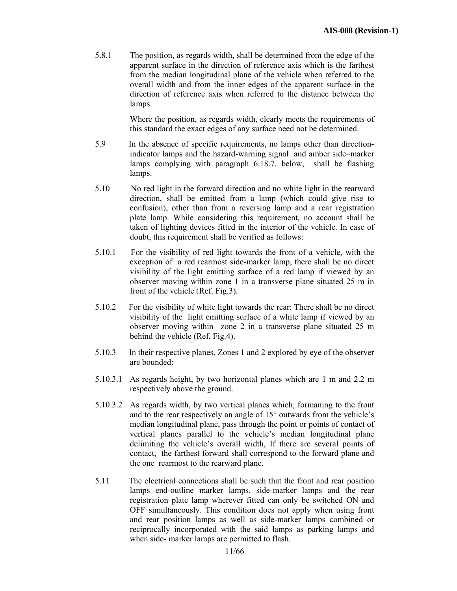5.8.1 The position, as regards width, shall be determined from the edge of the apparent surface in the direction of reference axis which is the farthest from the median longitudinal plane of the vehicle when referred to the overall width and from the inner edges of the apparent surface in the direction of reference axis when referred to the distance between the lamps.

> Where the position, as regards width, clearly meets the requirements of this standard the exact edges of any surface need not be determined.

- 5.9 In the absence of specific requirements, no lamps other than directionindicator lamps and the hazard-warning signal and amber side–marker lamps complying with paragraph 6.18.7. below, shall be flashing lamps.
- 5.10 No red light in the forward direction and no white light in the rearward direction, shall be emitted from a lamp (which could give rise to confusion), other than from a reversing lamp and a rear registration plate lamp. While considering this requirement, no account shall be taken of lighting devices fitted in the interior of the vehicle. In case of doubt, this requirement shall be verified as follows:
- 5.10.1 For the visibility of red light towards the front of a vehicle, with the exception of a red rearmost side-marker lamp, there shall be no direct visibility of the light emitting surface of a red lamp if viewed by an observer moving within zone 1 in a transverse plane situated 25 m in front of the vehicle (Ref. Fig.3).
- 5.10.2 For the visibility of white light towards the rear: There shall be no direct visibility of the light emitting surface of a white lamp if viewed by an observer moving within zone 2 in a transverse plane situated 25 m behind the vehicle (Ref. Fig.4).
- 5.10.3 In their respective planes, Zones 1 and 2 explored by eye of the observer are bounded:
- 5.10.3.1 As regards height, by two horizontal planes which are 1 m and 2.2 m respectively above the ground.
- 5.10.3.2 As regards width, by two vertical planes which, formaning to the front and to the rear respectively an angle of 15° outwards from the vehicle's median longitudinal plane, pass through the point or points of contact of vertical planes parallel to the vehicle's median longitudinal plane delimiting the vehicle's overall width, If there are several points of contact, the farthest forward shall correspond to the forward plane and the one rearmost to the rearward plane.
- 5.11 The electrical connections shall be such that the front and rear position lamps end-outline marker lamps, side-marker lamps and the rear registration plate lamp wherever fitted can only be switched ON and OFF simultaneously. This condition does not apply when using front and rear position lamps as well as side-marker lamps combined or reciprocally incorporated with the said lamps as parking lamps and when side- marker lamps are permitted to flash.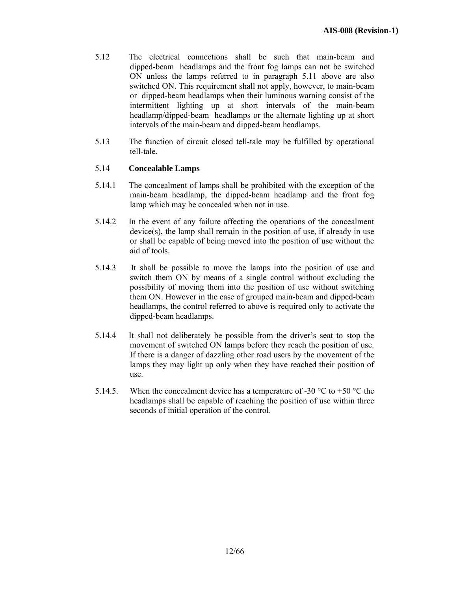- 5.12 The electrical connections shall be such that main-beam and dipped-beam headlamps and the front fog lamps can not be switched ON unless the lamps referred to in paragraph 5.11 above are also switched ON. This requirement shall not apply, however, to main-beam or dipped-beam headlamps when their luminous warning consist of the intermittent lighting up at short intervals of the main-beam headlamp/dipped-beam headlamps or the alternate lighting up at short intervals of the main-beam and dipped-beam headlamps.
- 5.13 The function of circuit closed tell-tale may be fulfilled by operational tell-tale.

# 5.14 **Concealable Lamps**

- 5.14.1 The concealment of lamps shall be prohibited with the exception of the main-beam headlamp, the dipped-beam headlamp and the front fog lamp which may be concealed when not in use.
- 5.14.2 In the event of any failure affecting the operations of the concealment device(s), the lamp shall remain in the position of use, if already in use or shall be capable of being moved into the position of use without the aid of tools.
- 5.14.3 It shall be possible to move the lamps into the position of use and switch them ON by means of a single control without excluding the possibility of moving them into the position of use without switching them ON. However in the case of grouped main-beam and dipped-beam headlamps, the control referred to above is required only to activate the dipped-beam headlamps.
- 5.14.4 It shall not deliberately be possible from the driver's seat to stop the movement of switched ON lamps before they reach the position of use. If there is a danger of dazzling other road users by the movement of the lamps they may light up only when they have reached their position of use.
- 5.14.5. When the concealment device has a temperature of -30  $^{\circ}$ C to +50  $^{\circ}$ C the headlamps shall be capable of reaching the position of use within three seconds of initial operation of the control.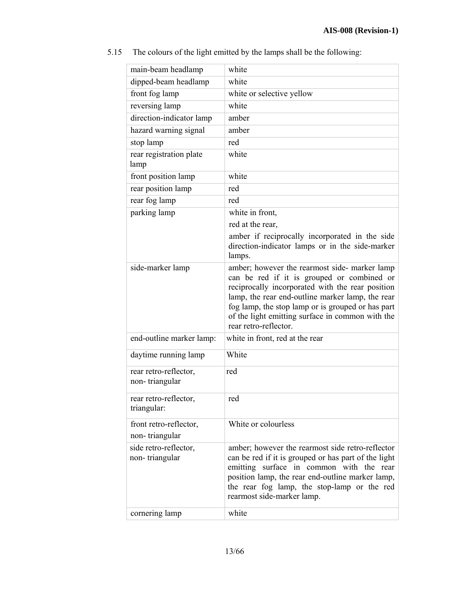| main-beam headlamp                      | white                                                                                                                                                                                                                                                                                                                                 |
|-----------------------------------------|---------------------------------------------------------------------------------------------------------------------------------------------------------------------------------------------------------------------------------------------------------------------------------------------------------------------------------------|
| dipped-beam headlamp                    | white                                                                                                                                                                                                                                                                                                                                 |
| front fog lamp                          | white or selective yellow                                                                                                                                                                                                                                                                                                             |
| reversing lamp                          | white                                                                                                                                                                                                                                                                                                                                 |
| direction-indicator lamp                | amber                                                                                                                                                                                                                                                                                                                                 |
| hazard warning signal                   | amber                                                                                                                                                                                                                                                                                                                                 |
| stop lamp                               | red                                                                                                                                                                                                                                                                                                                                   |
| rear registration plate<br>lamp         | white                                                                                                                                                                                                                                                                                                                                 |
| front position lamp                     | white                                                                                                                                                                                                                                                                                                                                 |
| rear position lamp                      | red                                                                                                                                                                                                                                                                                                                                   |
| rear fog lamp                           | red                                                                                                                                                                                                                                                                                                                                   |
| parking lamp                            | white in front,                                                                                                                                                                                                                                                                                                                       |
|                                         | red at the rear,                                                                                                                                                                                                                                                                                                                      |
|                                         | amber if reciprocally incorporated in the side<br>direction-indicator lamps or in the side-marker<br>lamps.                                                                                                                                                                                                                           |
| side-marker lamp                        | amber; however the rearmost side- marker lamp<br>can be red if it is grouped or combined or<br>reciprocally incorporated with the rear position<br>lamp, the rear end-outline marker lamp, the rear<br>fog lamp, the stop lamp or is grouped or has part<br>of the light emitting surface in common with the<br>rear retro-reflector. |
| end-outline marker lamp:                | white in front, red at the rear                                                                                                                                                                                                                                                                                                       |
| daytime running lamp                    | White                                                                                                                                                                                                                                                                                                                                 |
| rear retro-reflector,<br>non-triangular | red                                                                                                                                                                                                                                                                                                                                   |
| rear retro-reflector,<br>triangular:    | red                                                                                                                                                                                                                                                                                                                                   |
| front retro-reflector,                  | White or colourless                                                                                                                                                                                                                                                                                                                   |
| non-triangular                          |                                                                                                                                                                                                                                                                                                                                       |
| side retro-reflector,<br>non-triangular | amber; however the rearmost side retro-reflector<br>can be red if it is grouped or has part of the light<br>emitting surface in common with the rear<br>position lamp, the rear end-outline marker lamp,<br>the rear fog lamp, the stop-lamp or the red<br>rearmost side-marker lamp.                                                 |
| cornering lamp                          | white                                                                                                                                                                                                                                                                                                                                 |

5.15 The colours of the light emitted by the lamps shall be the following: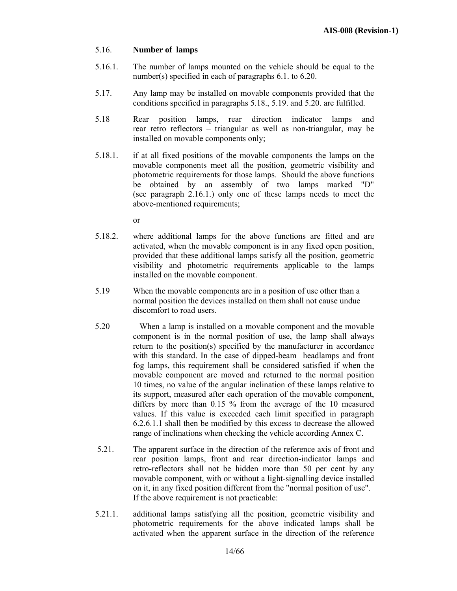#### 5.16. **Number of lamps**

- 5.16.1. The number of lamps mounted on the vehicle should be equal to the number(s) specified in each of paragraphs 6.1. to 6.20.
- 5.17. Any lamp may be installed on movable components provided that the conditions specified in paragraphs 5.18., 5.19. and 5.20. are fulfilled.
- 5.18 Rear position lamps, rear direction indicator lamps and rear retro reflectors – triangular as well as non-triangular, may be installed on movable components only;
- 5.18.1. if at all fixed positions of the movable components the lamps on the movable components meet all the position, geometric visibility and photometric requirements for those lamps. Should the above functions be obtained by an assembly of two lamps marked "D" (see paragraph 2.16.1.) only one of these lamps needs to meet the above-mentioned requirements;

or

- 5.18.2. where additional lamps for the above functions are fitted and are activated, when the movable component is in any fixed open position, provided that these additional lamps satisfy all the position, geometric visibility and photometric requirements applicable to the lamps installed on the movable component.
- 5.19When the movable components are in a position of use other than a normal position the devices installed on them shall not cause undue discomfort to road users.
- 5.20 When a lamp is installed on a movable component and the movable component is in the normal position of use, the lamp shall always return to the position(s) specified by the manufacturer in accordance with this standard. In the case of dipped-beam headlamps and front fog lamps, this requirement shall be considered satisfied if when the movable component are moved and returned to the normal position 10 times, no value of the angular inclination of these lamps relative to its support, measured after each operation of the movable component, differs by more than 0.15 % from the average of the 10 measured values. If this value is exceeded each limit specified in paragraph 6.2.6.1.1 shall then be modified by this excess to decrease the allowed range of inclinations when checking the vehicle according Annex C.
- 5.21. The apparent surface in the direction of the reference axis of front and rear position lamps, front and rear direction-indicator lamps and retro-reflectors shall not be hidden more than 50 per cent by any movable component, with or without a light-signalling device installed on it, in any fixed position different from the "normal position of use". If the above requirement is not practicable:
- 5.21.1. additional lamps satisfying all the position, geometric visibility and photometric requirements for the above indicated lamps shall be activated when the apparent surface in the direction of the reference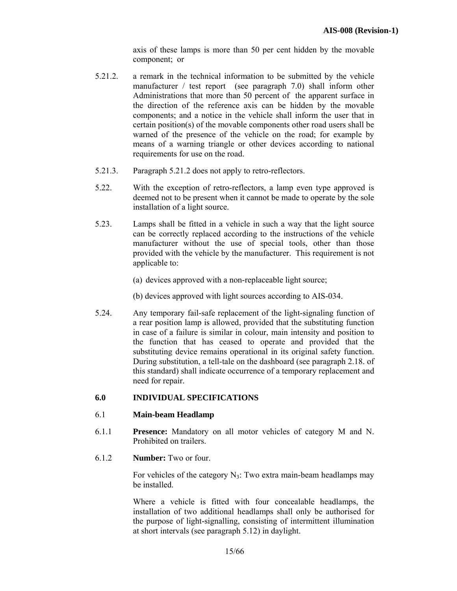axis of these lamps is more than 50 per cent hidden by the movable component; or

- 5.21.2. a remark in the technical information to be submitted by the vehicle manufacturer / test report (see paragraph 7.0) shall inform other Administrations that more than 50 percent of the apparent surface in the direction of the reference axis can be hidden by the movable components; and a notice in the vehicle shall inform the user that in certain position(s) of the movable components other road users shall be warned of the presence of the vehicle on the road; for example by means of a warning triangle or other devices according to national requirements for use on the road.
- 5.21.3. Paragraph 5.21.2 does not apply to retro-reflectors.
- 5.22. With the exception of retro-reflectors, a lamp even type approved is deemed not to be present when it cannot be made to operate by the sole installation of a light source.
- 5.23. Lamps shall be fitted in a vehicle in such a way that the light source can be correctly replaced according to the instructions of the vehicle manufacturer without the use of special tools, other than those provided with the vehicle by the manufacturer. This requirement is not applicable to:
	- (a) devices approved with a non-replaceable light source;
	- (b) devices approved with light sources according to AIS-034.
- 5.24. Any temporary fail-safe replacement of the light-signaling function of a rear position lamp is allowed, provided that the substituting function in case of a failure is similar in colour, main intensity and position to the function that has ceased to operate and provided that the substituting device remains operational in its original safety function. During substitution, a tell-tale on the dashboard (see paragraph 2.18. of this standard) shall indicate occurrence of a temporary replacement and need for repair.

## **6.0 INDIVIDUAL SPECIFICATIONS**

#### 6.1 **Main-beam Headlamp**

- 6.1.1 **Presence:** Mandatory on all motor vehicles of category M and N. Prohibited on trailers.
- 6.1.2 **Number:** Two or four.

For vehicles of the category  $N_3$ : Two extra main-beam headlamps may be installed.

Where a vehicle is fitted with four concealable headlamps, the installation of two additional headlamps shall only be authorised for the purpose of light-signalling, consisting of intermittent illumination at short intervals (see paragraph 5.12) in daylight.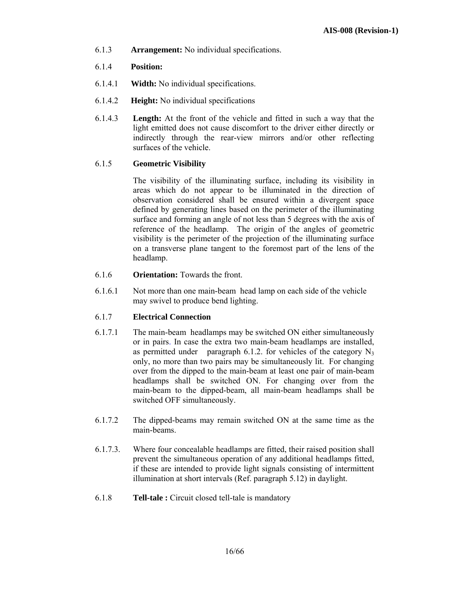- 6.1.3 **Arrangement:** No individual specifications.
- 6.1.4 **Position:**
- 6.1.4.1 **Width:** No individual specifications.
- 6.1.4.2 **Height:** No individual specifications
- 6.1.4.3 **Length:** At the front of the vehicle and fitted in such a way that the light emitted does not cause discomfort to the driver either directly or indirectly through the rear-view mirrors and/or other reflecting surfaces of the vehicle.

# 6.1.5 **Geometric Visibility**

 The visibility of the illuminating surface, including its visibility in areas which do not appear to be illuminated in the direction of observation considered shall be ensured within a divergent space defined by generating lines based on the perimeter of the illuminating surface and forming an angle of not less than 5 degrees with the axis of reference of the headlamp. The origin of the angles of geometric visibility is the perimeter of the projection of the illuminating surface on a transverse plane tangent to the foremost part of the lens of the headlamp.

- 6.1.6 **Orientation:** Towards the front.
- 6.1.6.1 Not more than one main-beam head lamp on each side of the vehicle may swivel to produce bend lighting.

# 6.1.7 **Electrical Connection**

- 6.1.7.1 The main-beam headlamps may be switched ON either simultaneously or in pairs. In case the extra two main-beam headlamps are installed, as permitted under paragraph 6.1.2. for vehicles of the category  $N_3$ only, no more than two pairs may be simultaneously lit. For changing over from the dipped to the main-beam at least one pair of main-beam headlamps shall be switched ON. For changing over from the main-beam to the dipped-beam, all main-beam headlamps shall be switched OFF simultaneously.
- 6.1.7.2 The dipped-beams may remain switched ON at the same time as the main-beams.
- 6.1.7.3. Where four concealable headlamps are fitted, their raised position shall prevent the simultaneous operation of any additional headlamps fitted, if these are intended to provide light signals consisting of intermittent illumination at short intervals (Ref. paragraph 5.12) in daylight.
- 6.1.8 **Tell-tale :** Circuit closed tell-tale is mandatory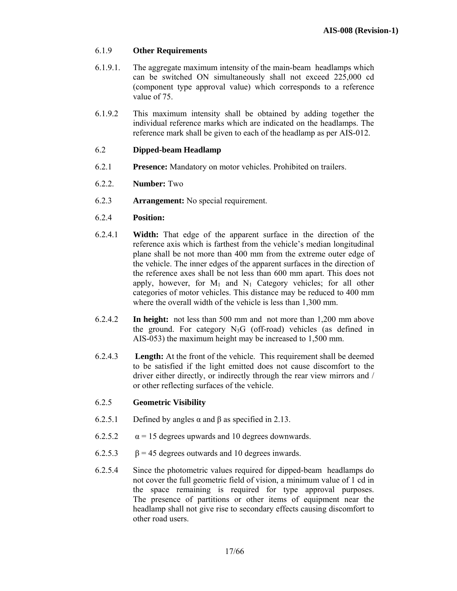#### 6.1.9 **Other Requirements**

- 6.1.9.1. The aggregate maximum intensity of the main-beam headlamps which can be switched ON simultaneously shall not exceed 225,000 cd (component type approval value) which corresponds to a reference value of 75.
- 6.1.9.2 This maximum intensity shall be obtained by adding together the individual reference marks which are indicated on the headlamps. The reference mark shall be given to each of the headlamp as per AIS-012.

## 6.2 **Dipped-beam Headlamp**

- 6.2.1 **Presence:** Mandatory on motor vehicles. Prohibited on trailers.
- 6.2.2. **Number:** Two
- 6.2.3 **Arrangement:** No special requirement.
- 6.2.4 **Position:**
- 6.2.4.1**Width:** That edge of the apparent surface in the direction of the reference axis which is farthest from the vehicle's median longitudinal plane shall be not more than 400 mm from the extreme outer edge of the vehicle. The inner edges of the apparent surfaces in the direction of the reference axes shall be not less than 600 mm apart. This does not apply, however, for  $M_1$  and  $N_1$  Category vehicles; for all other categories of motor vehicles. This distance may be reduced to 400 mm where the overall width of the vehicle is less than 1,300 mm.
- 6.2.4.2 **In height:** not less than 500 mm and not more than 1,200 mm above the ground. For category  $N_3G$  (off-road) vehicles (as defined in AIS-053) the maximum height may be increased to 1,500 mm.
- 6.2.4.3 **Length:** At the front of the vehicle. This requirement shall be deemed to be satisfied if the light emitted does not cause discomfort to the driver either directly, or indirectly through the rear view mirrors and / or other reflecting surfaces of the vehicle.

#### 6.2.5 **Geometric Visibility**

- 6.2.5.1 Defined by angles  $\alpha$  and  $\beta$  as specified in 2.13.
- 6.2.5.2  $\alpha$  = 15 degrees upwards and 10 degrees downwards.
- 6.2.5.3  $\beta$  = 45 degrees outwards and 10 degrees inwards.
- 6.2.5.4 Since the photometric values required for dipped-beam headlamps do not cover the full geometric field of vision, a minimum value of 1 cd in the space remaining is required for type approval purposes. The presence of partitions or other items of equipment near the headlamp shall not give rise to secondary effects causing discomfort to other road users.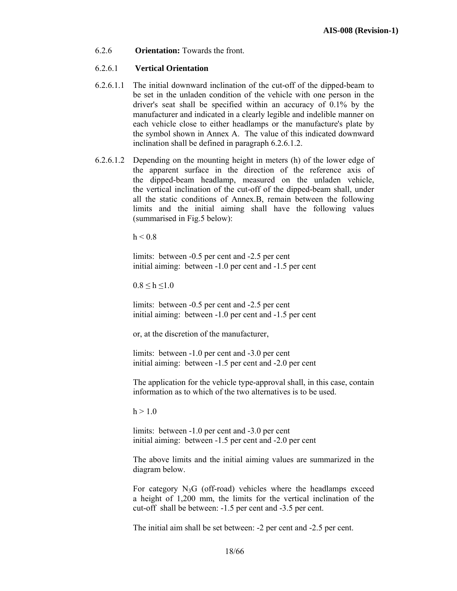6.2.6 **Orientation:** Towards the front.

#### 6.2.6.1 **Vertical Orientation**

- 6.2.6.1.1 The initial downward inclination of the cut-off of the dipped-beam to be set in the unladen condition of the vehicle with one person in the driver's seat shall be specified within an accuracy of 0.1% by the manufacturer and indicated in a clearly legible and indelible manner on each vehicle close to either headlamps or the manufacture's plate by the symbol shown in Annex A. The value of this indicated downward inclination shall be defined in paragraph 6.2.6.1.2.
- 6.2.6.1.2 Depending on the mounting height in meters (h) of the lower edge of the apparent surface in the direction of the reference axis of the dipped-beam headlamp, measured on the unladen vehicle, the vertical inclination of the cut-off of the dipped-beam shall, under all the static conditions of Annex.B, remain between the following limits and the initial aiming shall have the following values (summarised in Fig.5 below):

 $h < 0.8$ 

limits: between -0.5 per cent and -2.5 per cent initial aiming: between -1.0 per cent and -1.5 per cent

 $0.8 \le h \le 1.0$ 

limits: between -0.5 per cent and -2.5 per cent initial aiming: between -1.0 per cent and -1.5 per cent

or, at the discretion of the manufacturer,

limits: between -1.0 per cent and -3.0 per cent initial aiming: between -1.5 per cent and -2.0 per cent

The application for the vehicle type-approval shall, in this case, contain information as to which of the two alternatives is to be used.

 $h > 1.0$ 

limits: between -1.0 per cent and -3.0 per cent initial aiming: between -1.5 per cent and -2.0 per cent

The above limits and the initial aiming values are summarized in the diagram below.

For category  $N_3G$  (off-road) vehicles where the headlamps exceed a height of 1,200 mm, the limits for the vertical inclination of the cut-off shall be between: -1.5 per cent and -3.5 per cent.

The initial aim shall be set between: -2 per cent and -2.5 per cent.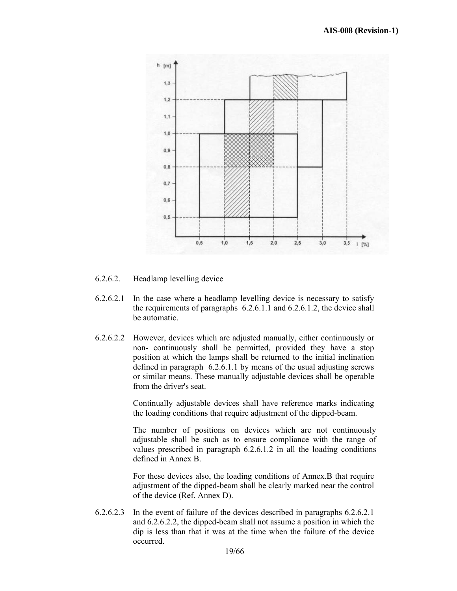

6.2.6.2. Headlamp levelling device

- 6.2.6.2.1 In the case where a headlamp levelling device is necessary to satisfy the requirements of paragraphs 6.2.6.1.1 and 6.2.6.1.2, the device shall be automatic.
- 6.2.6.2.2 However, devices which are adjusted manually, either continuously or non- continuously shall be permitted, provided they have a stop position at which the lamps shall be returned to the initial inclination defined in paragraph 6.2.6.1.1 by means of the usual adjusting screws or similar means. These manually adjustable devices shall be operable from the driver's seat.

Continually adjustable devices shall have reference marks indicating the loading conditions that require adjustment of the dipped-beam.

The number of positions on devices which are not continuously adjustable shall be such as to ensure compliance with the range of values prescribed in paragraph 6.2.6.1.2 in all the loading conditions defined in Annex B.

For these devices also, the loading conditions of Annex.B that require adjustment of the dipped-beam shall be clearly marked near the control of the device (Ref. Annex D).

6.2.6.2.3 In the event of failure of the devices described in paragraphs 6.2.6.2.1 and 6.2.6.2.2, the dipped-beam shall not assume a position in which the dip is less than that it was at the time when the failure of the device occurred.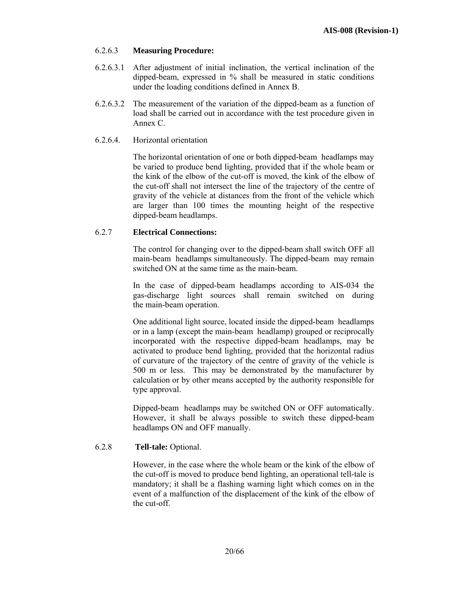# 6.2.6.3 **Measuring Procedure:**

- 6.2.6.3.1 After adjustment of initial inclination, the vertical inclination of the dipped-beam, expressed in % shall be measured in static conditions under the loading conditions defined in Annex B.
- 6.2.6.3.2 The measurement of the variation of the dipped-beam as a function of load shall be carried out in accordance with the test procedure given in Annex C.
- 6.2.6.4. Horizontal orientation

 The horizontal orientation of one or both dipped-beam headlamps may be varied to produce bend lighting, provided that if the whole beam or the kink of the elbow of the cut-off is moved, the kink of the elbow of the cut-off shall not intersect the line of the trajectory of the centre of gravity of the vehicle at distances from the front of the vehicle which are larger than 100 times the mounting height of the respective dipped-beam headlamps.

## 6.2.7 **Electrical Connections:**

The control for changing over to the dipped-beam shall switch OFF all main-beam headlamps simultaneously. The dipped-beam may remain switched ON at the same time as the main-beam.

In the case of dipped-beam headlamps according to AIS-034 the gas-discharge light sources shall remain switched on during the main-beam operation.

One additional light source, located inside the dipped-beam headlamps or in a lamp (except the main-beam headlamp) grouped or reciprocally incorporated with the respective dipped-beam headlamps, may be activated to produce bend lighting, provided that the horizontal radius of curvature of the trajectory of the centre of gravity of the vehicle is 500 m or less. This may be demonstrated by the manufacturer by calculation or by other means accepted by the authority responsible for type approval.

 Dipped-beam headlamps may be switched ON or OFF automatically. However, it shall be always possible to switch these dipped-beam headlamps ON and OFF manually.

## 6.2.8 **Tell-tale:** Optional.

However, in the case where the whole beam or the kink of the elbow of the cut-off is moved to produce bend lighting, an operational tell-tale is mandatory; it shall be a flashing warning light which comes on in the event of a malfunction of the displacement of the kink of the elbow of the cut-off.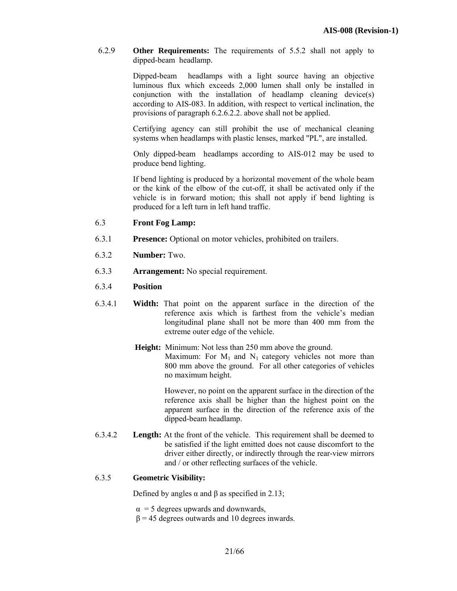6.2.9 **Other Requirements:** The requirements of 5.5.2 shall not apply to dipped-beam headlamp.

> Dipped-beam headlamps with a light source having an objective luminous flux which exceeds 2,000 lumen shall only be installed in conjunction with the installation of headlamp cleaning device(s) according to AIS-083. In addition, with respect to vertical inclination, the provisions of paragraph 6.2.6.2.2. above shall not be applied.

> Certifying agency can still prohibit the use of mechanical cleaning systems when headlamps with plastic lenses, marked "PL", are installed.

> Only dipped-beam headlamps according to AIS-012 may be used to produce bend lighting.

> If bend lighting is produced by a horizontal movement of the whole beam or the kink of the elbow of the cut-off, it shall be activated only if the vehicle is in forward motion; this shall not apply if bend lighting is produced for a left turn in left hand traffic.

#### 6.3 **Front Fog Lamp:**

- 6.3.1 **Presence:** Optional on motor vehicles, prohibited on trailers.
- 6.3.2 **Number:** Two.
- 6.3.3 **Arrangement:** No special requirement.
- 6.3.4 **Position**
- 6.3.4.1 **Width:** That point on the apparent surface in the direction of the reference axis which is farthest from the vehicle's median longitudinal plane shall not be more than 400 mm from the extreme outer edge of the vehicle.
	- **Height:** Minimum: Not less than 250 mm above the ground. Maximum: For  $M_1$  and  $N_1$  category vehicles not more than 800 mm above the ground. For all other categories of vehicles no maximum height.

However, no point on the apparent surface in the direction of the reference axis shall be higher than the highest point on the apparent surface in the direction of the reference axis of the dipped-beam headlamp.

6.3.4.2 **Length:** At the front of the vehicle. This requirement shall be deemed to be satisfied if the light emitted does not cause discomfort to the driver either directly, or indirectly through the rear-view mirrors and / or other reflecting surfaces of the vehicle.

#### 6.3.5 **Geometric Visibility:**

Defined by angles  $\alpha$  and  $\beta$  as specified in 2.13;

- $\alpha$  = 5 degrees upwards and downwards,
- $β = 45$  degrees outwards and 10 degrees inwards.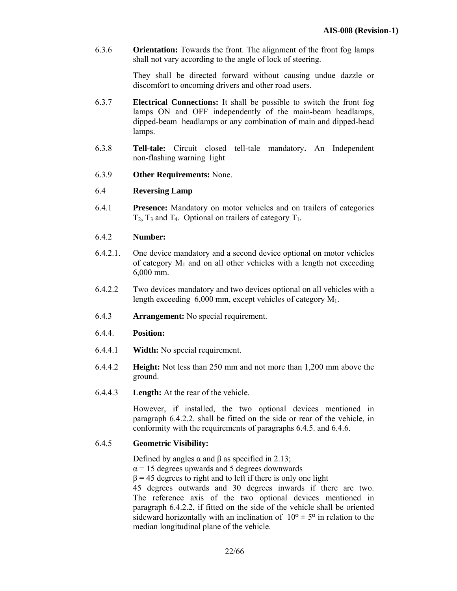6.3.6 **Orientation:** Towards the front. The alignment of the front fog lamps shall not vary according to the angle of lock of steering.

> They shall be directed forward without causing undue dazzle or discomfort to oncoming drivers and other road users.

- 6.3.7 **Electrical Connections:** It shall be possible to switch the front fog lamps ON and OFF independently of the main-beam headlamps, dipped-beam headlamps or any combination of main and dipped-head lamps.
- 6.3.8 **Tell-tale:** Circuit closed tell-tale mandatory**.** An Independent non-flashing warning light
- 6.3.9 **Other Requirements:** None.

#### 6.4 **Reversing Lamp**

6.4.1 **Presence:** Mandatory on motor vehicles and on trailers of categories  $T_2$ ,  $T_3$  and  $T_4$ . Optional on trailers of category  $T_1$ .

#### 6.4.2 **Number:**

- 6.4.2.1. One device mandatory and a second device optional on motor vehicles of category  $M_1$  and on all other vehicles with a length not exceeding 6,000 mm.
- 6.4.2.2 Two devices mandatory and two devices optional on all vehicles with a length exceeding  $6,000$  mm, except vehicles of category  $M_1$ .
- 6.4.3 **Arrangement:** No special requirement.

#### 6.4.4. **Position:**

- 6.4.4.1 **Width:** No special requirement.
- 6.4.4.2 **Height:** Not less than 250 mm and not more than 1,200 mm above the ground.
- 6.4.4.3 **Length:** At the rear of the vehicle.

 However, if installed, the two optional devices mentioned in paragraph 6.4.2.2. shall be fitted on the side or rear of the vehicle, in conformity with the requirements of paragraphs 6.4.5. and 6.4.6.

#### 6.4.5 **Geometric Visibility:**

Defined by angles  $\alpha$  and  $\beta$  as specified in 2.13;

 $\alpha$  = 15 degrees upwards and 5 degrees downwards

 $\beta$  = 45 degrees to right and to left if there is only one light

45 degrees outwards and 30 degrees inwards if there are two. The reference axis of the two optional devices mentioned in paragraph 6.4.2.2, if fitted on the side of the vehicle shall be oriented sideward horizontally with an inclination of  $10^{\circ} \pm 5^{\circ}$  in relation to the median longitudinal plane of the vehicle.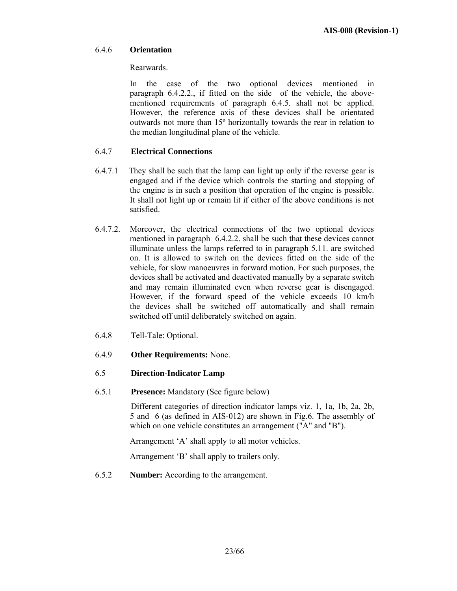## 6.4.6 **Orientation**

Rearwards.

 In the case of the two optional devices mentioned in paragraph 6.4.2.2., if fitted on the side of the vehicle, the abovementioned requirements of paragraph 6.4.5. shall not be applied. However, the reference axis of these devices shall be orientated outwards not more than 15º horizontally towards the rear in relation to the median longitudinal plane of the vehicle.

# 6.4.7 **Electrical Connections**

- 6.4.7.1 They shall be such that the lamp can light up only if the reverse gear is engaged and if the device which controls the starting and stopping of the engine is in such a position that operation of the engine is possible. It shall not light up or remain lit if either of the above conditions is not satisfied.
- 6.4.7.2. Moreover, the electrical connections of the two optional devices mentioned in paragraph 6.4.2.2. shall be such that these devices cannot illuminate unless the lamps referred to in paragraph 5.11. are switched on. It is allowed to switch on the devices fitted on the side of the vehicle, for slow manoeuvres in forward motion. For such purposes, the devices shall be activated and deactivated manually by a separate switch and may remain illuminated even when reverse gear is disengaged. However, if the forward speed of the vehicle exceeds 10 km/h the devices shall be switched off automatically and shall remain switched off until deliberately switched on again.
- 6.4.8 Tell-Tale: Optional.
- 6.4.9 **Other Requirements:** None.

# 6.5 **Direction-Indicator Lamp**

6.5.1 **Presence:** Mandatory (See figure below)

 Different categories of direction indicator lamps viz. 1, 1a, 1b, 2a, 2b, 5 and 6 (as defined in AIS-012) are shown in Fig.6. The assembly of which on one vehicle constitutes an arrangement ("A" and "B").

Arrangement 'A' shall apply to all motor vehicles.

Arrangement 'B' shall apply to trailers only.

6.5.2 **Number:** According to the arrangement.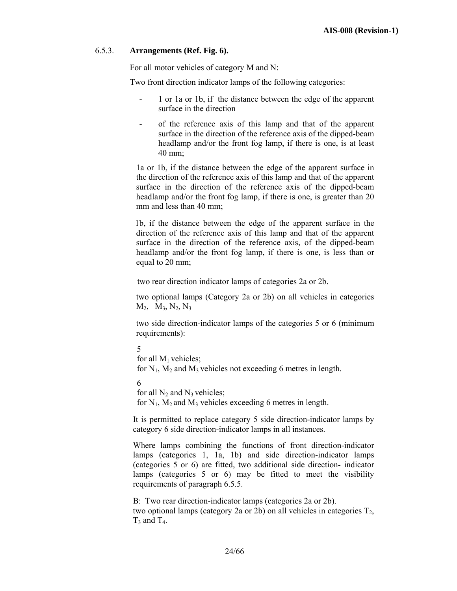## 6.5.3. **Arrangements (Ref. Fig. 6).**

For all motor vehicles of category M and N:

Two front direction indicator lamps of the following categories:

- 1 or 1a or 1b, if the distance between the edge of the apparent surface in the direction
- of the reference axis of this lamp and that of the apparent surface in the direction of the reference axis of the dipped-beam headlamp and/or the front fog lamp, if there is one, is at least 40 mm;

1a or 1b, if the distance between the edge of the apparent surface in the direction of the reference axis of this lamp and that of the apparent surface in the direction of the reference axis of the dipped-beam headlamp and/or the front fog lamp, if there is one, is greater than 20 mm and less than 40 mm;

 1b, if the distance between the edge of the apparent surface in the direction of the reference axis of this lamp and that of the apparent surface in the direction of the reference axis, of the dipped-beam headlamp and/or the front fog lamp, if there is one, is less than or equal to 20 mm;

two rear direction indicator lamps of categories 2a or 2b.

two optional lamps (Category 2a or 2b) on all vehicles in categories  $M_2$ ,  $M_3$ ,  $N_2$ ,  $N_3$ 

two side direction-indicator lamps of the categories 5 or 6 (minimum requirements):

```
5
```

```
for all M_1 vehicles:
for N_1, M_2 and M_3 vehicles not exceeding 6 metres in length.
```
6

for all  $N_2$  and  $N_3$  vehicles; for  $N_1$ ,  $M_2$  and  $M_3$  vehicles exceeding 6 metres in length.

It is permitted to replace category 5 side direction-indicator lamps by category 6 side direction-indicator lamps in all instances.

Where lamps combining the functions of front direction-indicator lamps (categories 1, 1a, 1b) and side direction-indicator lamps (categories 5 or 6) are fitted, two additional side direction- indicator lamps (categories 5 or 6) may be fitted to meet the visibility requirements of paragraph 6.5.5.

B: Two rear direction-indicator lamps (categories 2a or 2b). two optional lamps (category 2a or 2b) on all vehicles in categories  $T_2$ ,  $T_3$  and  $T_4$ .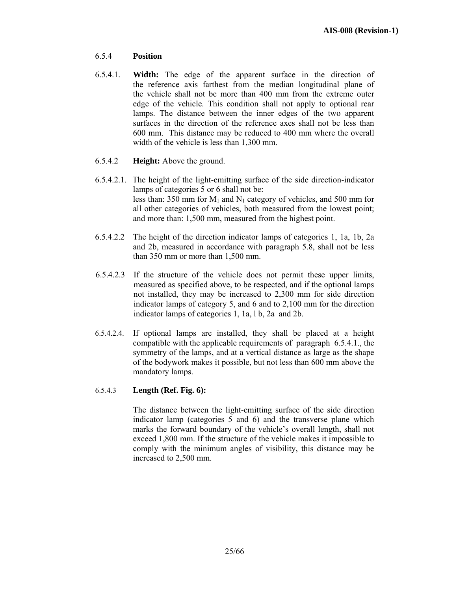# 6.5.4 **Position**

- 6.5.4.1. **Width:** The edge of the apparent surface in the direction of the reference axis farthest from the median longitudinal plane of the vehicle shall not be more than 400 mm from the extreme outer edge of the vehicle. This condition shall not apply to optional rear lamps. The distance between the inner edges of the two apparent surfaces in the direction of the reference axes shall not be less than 600 mm. This distance may be reduced to 400 mm where the overall width of the vehicle is less than 1,300 mm.
- 6.5.4.2 **Height:** Above the ground.
- 6.5.4.2.1. The height of the light-emitting surface of the side direction-indicator lamps of categories 5 or 6 shall not be: less than: 350 mm for  $M_1$  and  $N_1$  category of vehicles, and 500 mm for all other categories of vehicles, both measured from the lowest point; and more than: 1,500 mm, measured from the highest point.
- 6.5.4.2.2 The height of the direction indicator lamps of categories 1, 1a, 1b, 2a and 2b, measured in accordance with paragraph 5.8, shall not be less than 350 mm or more than 1,500 mm.
- 6.5.4.2.3 If the structure of the vehicle does not permit these upper limits, measured as specified above, to be respected, and if the optional lamps not installed, they may be increased to 2,300 mm for side direction indicator lamps of category 5, and 6 and to 2,100 mm for the direction indicator lamps of categories 1, 1a, l b, 2a and 2b.
- 6.5.4.2.4. If optional lamps are installed, they shall be placed at a height compatible with the applicable requirements of paragraph 6.5.4.1., the symmetry of the lamps, and at a vertical distance as large as the shape of the bodywork makes it possible, but not less than 600 mm above the mandatory lamps.

## 6.5.4.3 **Length (Ref. Fig. 6):**

 The distance between the light-emitting surface of the side direction indicator lamp (categories 5 and 6) and the transverse plane which marks the forward boundary of the vehicle's overall length, shall not exceed 1,800 mm. If the structure of the vehicle makes it impossible to comply with the minimum angles of visibility, this distance may be increased to 2,500 mm.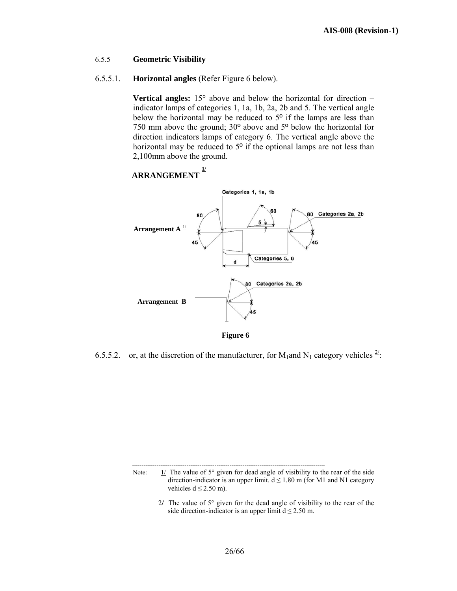## 6.5.5 **Geometric Visibility**

## 6.5.5.1. **Horizontal angles** (Refer Figure 6 below).

**Vertical angles:** 15° above and below the horizontal for direction – indicator lamps of categories 1, 1a, 1b, 2a, 2b and 5. The vertical angle below the horizontal may be reduced to 5º if the lamps are less than 750 mm above the ground; 30º above and 5º below the horizontal for direction indicators lamps of category 6. The vertical angle above the horizontal may be reduced to 5<sup>o</sup> if the optional lamps are not less than 2,100mm above the ground.



6.5.5.2. or, at the discretion of the manufacturer, for  $M_1$  and  $N_1$  category vehicles  $\frac{2}{\cdot}$ .

Note:  $\frac{1}{\sqrt{2}}$  The value of 5° given for dead angle of visibility to the rear of the side direction-indicator is an upper limit.  $d \le 1.80$  m (for M1 and N1 category vehicles  $d \le 2.50$  m).

> 2**/** The value of 5° given for the dead angle of visibility to the rear of the side direction-indicator is an upper limit  $d \le 2.50$  m.

-------------------------------------------------------------------------------------------------------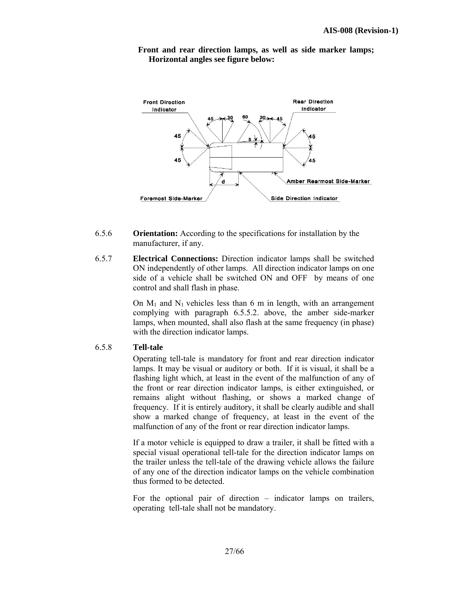

 **Front and rear direction lamps, as well as side marker lamps; Horizontal angles see figure below:** 

- 6.5.6 **Orientation:** According to the specifications for installation by the manufacturer, if any.
- 6.5.7 **Electrical Connections:** Direction indicator lamps shall be switched ON independently of other lamps. All direction indicator lamps on one side of a vehicle shall be switched ON and OFF by means of one control and shall flash in phase.

On  $M_1$  and  $N_1$  vehicles less than 6 m in length, with an arrangement complying with paragraph 6.5.5.2. above, the amber side-marker lamps, when mounted, shall also flash at the same frequency (in phase) with the direction indicator lamps.

#### 6.5.8 **Tell-tale**

 Operating tell-tale is mandatory for front and rear direction indicator lamps. It may be visual or auditory or both. If it is visual, it shall be a flashing light which, at least in the event of the malfunction of any of the front or rear direction indicator lamps, is either extinguished, or remains alight without flashing, or shows a marked change of frequency. If it is entirely auditory, it shall be clearly audible and shall show a marked change of frequency, at least in the event of the malfunction of any of the front or rear direction indicator lamps.

If a motor vehicle is equipped to draw a trailer, it shall be fitted with a special visual operational tell-tale for the direction indicator lamps on the trailer unless the tell-tale of the drawing vehicle allows the failure of any one of the direction indicator lamps on the vehicle combination thus formed to be detected.

For the optional pair of direction – indicator lamps on trailers, operating tell-tale shall not be mandatory.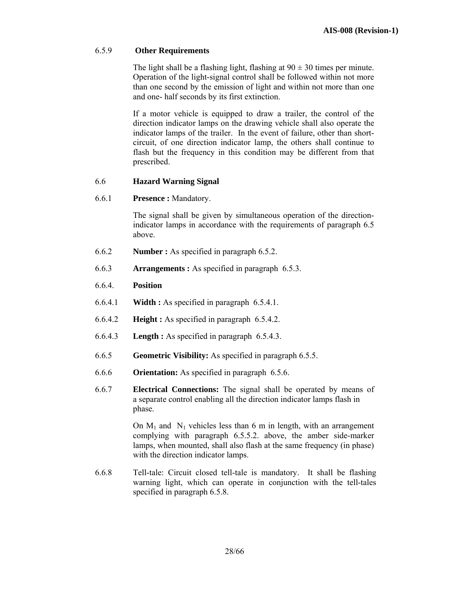## 6.5.9 **Other Requirements**

The light shall be a flashing light, flashing at  $90 \pm 30$  times per minute. Operation of the light-signal control shall be followed within not more than one second by the emission of light and within not more than one and one- half seconds by its first extinction.

If a motor vehicle is equipped to draw a trailer, the control of the direction indicator lamps on the drawing vehicle shall also operate the indicator lamps of the trailer. In the event of failure, other than shortcircuit, of one direction indicator lamp, the others shall continue to flash but the frequency in this condition may be different from that prescribed.

## 6.6 **Hazard Warning Signal**

6.6.1 **Presence :** Mandatory.

The signal shall be given by simultaneous operation of the directionindicator lamps in accordance with the requirements of paragraph 6.5 above.

- 6.6.2 **Number :** As specified in paragraph 6.5.2.
- 6.6.3 **Arrangements :** As specified in paragraph 6.5.3.
- 6.6.4. **Position**
- 6.6.4.1 **Width :** As specified in paragraph 6.5.4.1.
- 6.6.4.2 **Height :** As specified in paragraph 6.5.4.2.
- 6.6.4.3 **Length :** As specified in paragraph 6.5.4.3.
- 6.6.5 **Geometric Visibility:** As specified in paragraph 6.5.5.
- 6.6.6 **Orientation:** As specified in paragraph 6.5.6.
- 6.6.7 **Electrical Connections:** The signal shall be operated by means of a separate control enabling all the direction indicator lamps flash in phase.

On  $M_1$  and  $N_1$  vehicles less than 6 m in length, with an arrangement complying with paragraph 6.5.5.2. above, the amber side-marker lamps, when mounted, shall also flash at the same frequency (in phase) with the direction indicator lamps.

6.6.8 Tell-tale: Circuit closed tell-tale is mandatory. It shall be flashing warning light, which can operate in conjunction with the tell-tales specified in paragraph 6.5.8.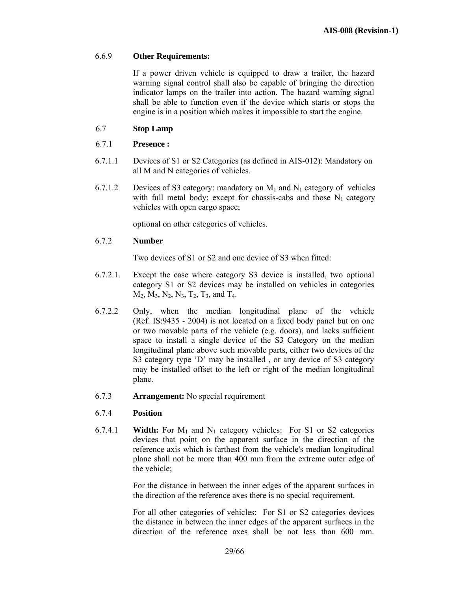## 6.6.9 **Other Requirements:**

 If a power driven vehicle is equipped to draw a trailer, the hazard warning signal control shall also be capable of bringing the direction indicator lamps on the trailer into action. The hazard warning signal shall be able to function even if the device which starts or stops the engine is in a position which makes it impossible to start the engine.

## 6.7 **Stop Lamp**

## 6.7.1 **Presence :**

- 6.7.1.1 Devices of S1 or S2 Categories (as defined in AIS-012): Mandatory on all M and N categories of vehicles.
- 6.7.1.2 Devices of S3 category: mandatory on  $M_1$  and  $N_1$  category of vehicles with full metal body; except for chassis-cabs and those  $N_1$  category vehicles with open cargo space;

optional on other categories of vehicles.

#### 6.7.2 **Number**

Two devices of S1 or S2 and one device of S3 when fitted:

- 6.7.2.1. Except the case where category S3 device is installed, two optional category S1 or S2 devices may be installed on vehicles in categories  $M_2$ ,  $M_3$ ,  $N_2$ ,  $N_3$ ,  $T_2$ ,  $T_3$ , and  $T_4$ .
- 6.7.2.2 Only, when the median longitudinal plane of the vehicle (Ref. IS:9435 - 2004) is not located on a fixed body panel but on one or two movable parts of the vehicle (e.g. doors), and lacks sufficient space to install a single device of the S3 Category on the median longitudinal plane above such movable parts, either two devices of the S3 category type 'D' may be installed, or any device of S3 category may be installed offset to the left or right of the median longitudinal plane.
- 6.7.3 **Arrangement:** No special requirement

#### 6.7.4 **Position**

6.7.4.1 **Width:** For  $M_1$  and  $N_1$  category vehicles: For S1 or S2 categories devices that point on the apparent surface in the direction of the reference axis which is farthest from the vehicle's median longitudinal plane shall not be more than 400 mm from the extreme outer edge of the vehicle;

> For the distance in between the inner edges of the apparent surfaces in the direction of the reference axes there is no special requirement.

> For all other categories of vehicles: For S1 or S2 categories devices the distance in between the inner edges of the apparent surfaces in the direction of the reference axes shall be not less than 600 mm.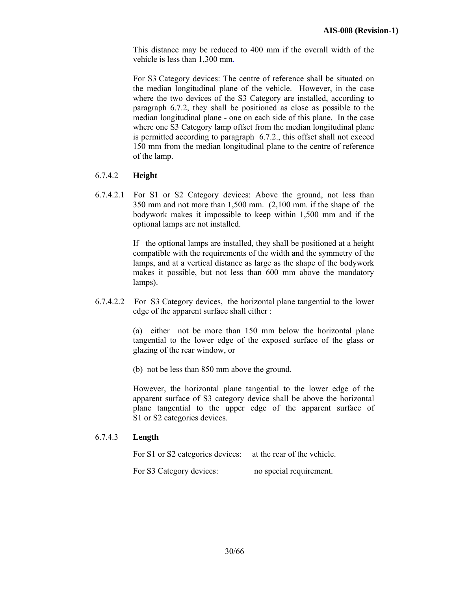This distance may be reduced to 400 mm if the overall width of the vehicle is less than 1,300 mm.

For S3 Category devices: The centre of reference shall be situated on the median longitudinal plane of the vehicle. However, in the case where the two devices of the S3 Category are installed, according to paragraph 6.7.2, they shall be positioned as close as possible to the median longitudinal plane - one on each side of this plane. In the case where one S3 Category lamp offset from the median longitudinal plane is permitted according to paragraph 6.7.2., this offset shall not exceed 150 mm from the median longitudinal plane to the centre of reference of the lamp.

## 6.7.4.2 **Height**

6.7.4.2.1 For S1 or S2 Category devices: Above the ground, not less than 350 mm and not more than 1,500 mm. (2,100 mm. if the shape of the bodywork makes it impossible to keep within 1,500 mm and if the optional lamps are not installed.

> If the optional lamps are installed, they shall be positioned at a height compatible with the requirements of the width and the symmetry of the lamps, and at a vertical distance as large as the shape of the bodywork makes it possible, but not less than 600 mm above the mandatory lamps).

6.7.4.2.2 For S3 Category devices, the horizontal plane tangential to the lower edge of the apparent surface shall either :

> (a) either not be more than 150 mm below the horizontal plane tangential to the lower edge of the exposed surface of the glass or glazing of the rear window, or

(b) not be less than 850 mm above the ground.

However, the horizontal plane tangential to the lower edge of the apparent surface of S3 category device shall be above the horizontal plane tangential to the upper edge of the apparent surface of S1 or S2 categories devices.

## 6.7.4.3 **Length**

For S1 or S2 categories devices: at the rear of the vehicle.

For S3 Category devices: no special requirement.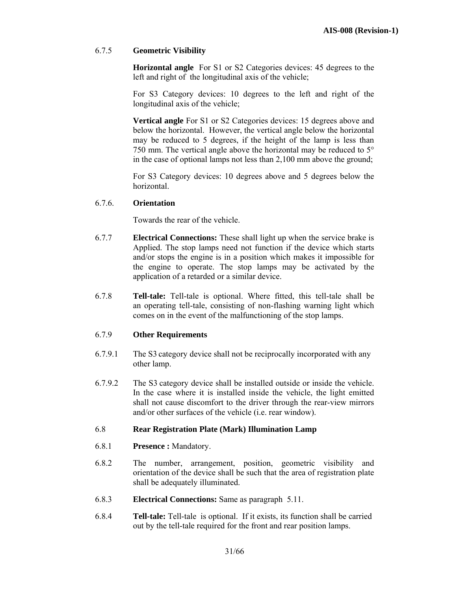## 6.7.5 **Geometric Visibility**

**Horizontal angle** For S1 or S2 Categories devices: 45 degrees to the left and right of the longitudinal axis of the vehicle;

 For S3 Category devices: 10 degrees to the left and right of the longitudinal axis of the vehicle;

**Vertical angle** For S1 or S2 Categories devices: 15 degrees above and below the horizontal. However, the vertical angle below the horizontal may be reduced to 5 degrees, if the height of the lamp is less than 750 mm. The vertical angle above the horizontal may be reduced to 5° in the case of optional lamps not less than 2,100 mm above the ground;

For S3 Category devices: 10 degrees above and 5 degrees below the horizontal.

## 6.7.6. **Orientation**

Towards the rear of the vehicle.

- 6.7.7 **Electrical Connections:** These shall light up when the service brake is Applied. The stop lamps need not function if the device which starts and/or stops the engine is in a position which makes it impossible for the engine to operate. The stop lamps may be activated by the application of a retarded or a similar device.
- 6.7.8 **Tell-tale:** Tell-tale is optional. Where fitted, this tell-tale shall be an operating tell-tale, consisting of non-flashing warning light which comes on in the event of the malfunctioning of the stop lamps.

## 6.7.9 **Other Requirements**

- 6.7.9.1 The S3 category device shall not be reciprocally incorporated with any other lamp.
- 6.7.9.2 The S3 category device shall be installed outside or inside the vehicle. In the case where it is installed inside the vehicle, the light emitted shall not cause discomfort to the driver through the rear-view mirrors and/or other surfaces of the vehicle (i.e. rear window).

#### 6.8 **Rear Registration Plate (Mark) Illumination Lamp**

- 6.8.1 **Presence :** Mandatory.
- 6.8.2 The number, arrangement, position, geometric visibility and orientation of the device shall be such that the area of registration plate shall be adequately illuminated.
- 6.8.3 **Electrical Connections:** Same as paragraph 5.11.
- 6.8.4 **Tell-tale:** Tell-tale is optional. If it exists, its function shall be carried out by the tell-tale required for the front and rear position lamps.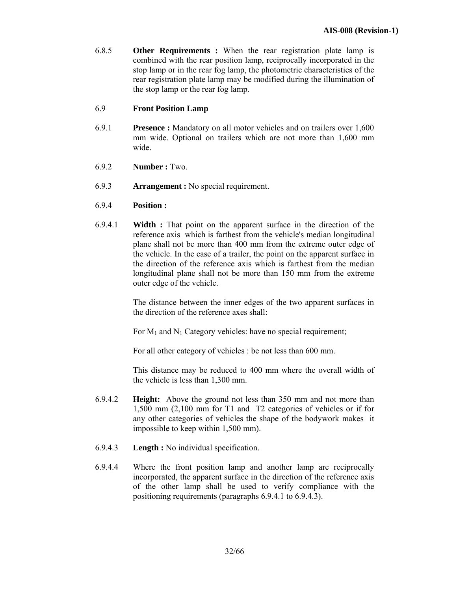6.8.5 **Other Requirements :** When the rear registration plate lamp is combined with the rear position lamp, reciprocally incorporated in the stop lamp or in the rear fog lamp, the photometric characteristics of the rear registration plate lamp may be modified during the illumination of the stop lamp or the rear fog lamp.

## 6.9 **Front Position Lamp**

- 6.9.1 **Presence :** Mandatory on all motor vehicles and on trailers over 1,600 mm wide. Optional on trailers which are not more than 1,600 mm wide.
- 6.9.2 **Number :** Two.
- 6.9.3 **Arrangement :** No special requirement.
- 6.9.4 **Position :**
- 6.9.4.1 **Width :** That point on the apparent surface in the direction of the reference axis which is farthest from the vehicle's median longitudinal plane shall not be more than 400 mm from the extreme outer edge of the vehicle. In the case of a trailer, the point on the apparent surface in the direction of the reference axis which is farthest from the median longitudinal plane shall not be more than 150 mm from the extreme outer edge of the vehicle.

The distance between the inner edges of the two apparent surfaces in the direction of the reference axes shall:

For  $M_1$  and  $N_1$  Category vehicles: have no special requirement;

For all other category of vehicles : be not less than 600 mm.

 This distance may be reduced to 400 mm where the overall width of the vehicle is less than 1,300 mm.

- 6.9.4.2 **Height:** Above the ground not less than 350 mm and not more than 1,500 mm (2,100 mm for T1 and T2 categories of vehicles or if for any other categories of vehicles the shape of the bodywork makes it impossible to keep within 1,500 mm).
- 6.9.4.3 **Length :** No individual specification.
- 6.9.4.4 Where the front position lamp and another lamp are reciprocally incorporated, the apparent surface in the direction of the reference axis of the other lamp shall be used to verify compliance with the positioning requirements (paragraphs 6.9.4.1 to 6.9.4.3).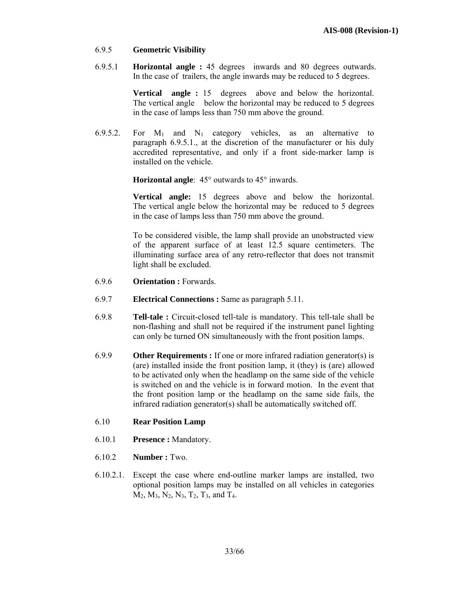## 6.9.5 **Geometric Visibility**

6.9.5.1 **Horizontal angle :** 45 degrees inwards and 80 degrees outwards. In the case of trailers, the angle inwards may be reduced to 5 degrees.

> **Vertical angle :** 15 degrees above and below the horizontal. The vertical angle below the horizontal may be reduced to 5 degrees in the case of lamps less than 750 mm above the ground.

6.9.5.2. For  $M_1$  and  $N_1$  category vehicles, as an alternative to paragraph 6.9.5.1., at the discretion of the manufacturer or his duly accredited representative, and only if a front side-marker lamp is installed on the vehicle.

**Horizontal angle**: 45° outwards to 45° inwards.

**Vertical angle:** 15 degrees above and below the horizontal. The vertical angle below the horizontal may be reduced to 5 degrees in the case of lamps less than 750 mm above the ground.

To be considered visible, the lamp shall provide an unobstructed view of the apparent surface of at least 12.5 square centimeters. The illuminating surface area of any retro-reflector that does not transmit light shall be excluded.

- 6.9.6 **Orientation :** Forwards.
- 6.9.7 **Electrical Connections :** Same as paragraph 5.11.
- 6.9.8 **Tell-tale :** Circuit-closed tell-tale is mandatory. This tell-tale shall be non-flashing and shall not be required if the instrument panel lighting can only be turned ON simultaneously with the front position lamps.
- 6.9.9 **Other Requirements :** If one or more infrared radiation generator(s) is (are) installed inside the front position lamp, it (they) is (are) allowed to be activated only when the headlamp on the same side of the vehicle is switched on and the vehicle is in forward motion. In the event that the front position lamp or the headlamp on the same side fails, the infrared radiation generator(s) shall be automatically switched off.

#### 6.10 **Rear Position Lamp**

- 6.10.1 **Presence :** Mandatory.
- 6.10.2 **Number :** Two.
- 6.10.2.1. Except the case where end-outline marker lamps are installed, two optional position lamps may be installed on all vehicles in categories  $M_2$ ,  $M_3$ ,  $N_2$ ,  $N_3$ ,  $T_2$ ,  $T_3$ , and  $T_4$ .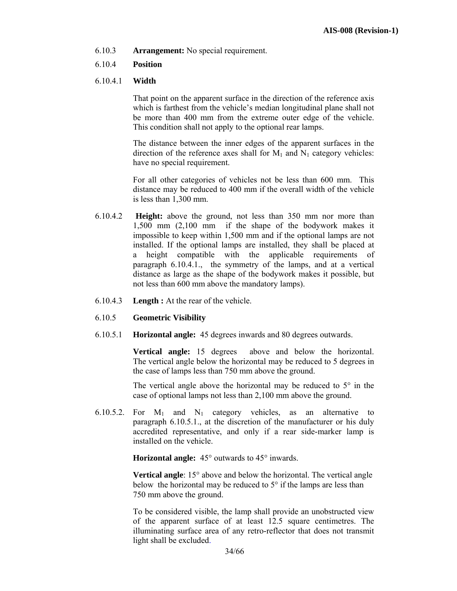6.10.3 **Arrangement:** No special requirement.

## 6.10.4 **Position**

## 6.10.4.1 **Width**

That point on the apparent surface in the direction of the reference axis which is farthest from the vehicle's median longitudinal plane shall not be more than 400 mm from the extreme outer edge of the vehicle. This condition shall not apply to the optional rear lamps.

The distance between the inner edges of the apparent surfaces in the direction of the reference axes shall for  $M_1$  and  $N_1$  category vehicles: have no special requirement.

For all other categories of vehicles not be less than 600 mm. This distance may be reduced to 400 mm if the overall width of the vehicle is less than 1,300 mm.

- 6.10.4.2 **Height:** above the ground, not less than 350 mm nor more than 1,500 mm (2,100 mm if the shape of the bodywork makes it impossible to keep within 1,500 mm and if the optional lamps are not installed. If the optional lamps are installed, they shall be placed at a height compatible with the applicable requirements of paragraph 6.10.4.1., the symmetry of the lamps, and at a vertical distance as large as the shape of the bodywork makes it possible, but not less than 600 mm above the mandatory lamps).
- 6.10.4.3 **Length :** At the rear of the vehicle.
- 6.10.5 **Geometric Visibility**
- 6.10.5.1 **Horizontal angle:** 45 degrees inwards and 80 degrees outwards.

**Vertical angle:** 15 degrees above and below the horizontal. The vertical angle below the horizontal may be reduced to 5 degrees in the case of lamps less than 750 mm above the ground.

The vertical angle above the horizontal may be reduced to  $5^\circ$  in the case of optional lamps not less than 2,100 mm above the ground.

6.10.5.2. For  $M_1$  and  $N_1$  category vehicles, as an alternative to paragraph 6.10.5.1., at the discretion of the manufacturer or his duly accredited representative, and only if a rear side-marker lamp is installed on the vehicle.

**Horizontal angle:** 45° outwards to 45° inwards.

**Vertical angle**: 15° above and below the horizontal. The vertical angle below the horizontal may be reduced to 5° if the lamps are less than 750 mm above the ground.

To be considered visible, the lamp shall provide an unobstructed view of the apparent surface of at least 12.5 square centimetres. The illuminating surface area of any retro-reflector that does not transmit light shall be excluded.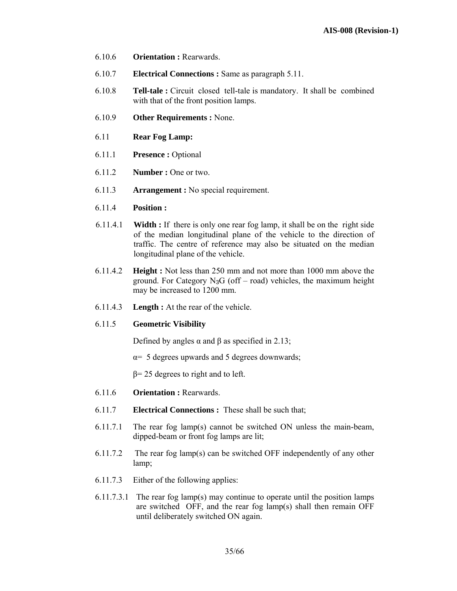- 6.10.6 **Orientation :** Rearwards.
- 6.10.7 **Electrical Connections :** Same as paragraph 5.11.
- 6.10.8 **Tell-tale :** Circuit closed tell-tale is mandatory. It shall be combined with that of the front position lamps.
- 6.10.9 **Other Requirements :** None.
- 6.11 **Rear Fog Lamp:**
- 6.11.1 **Presence :** Optional
- 6.11.2 **Number :** One or two.
- 6.11.3 **Arrangement :** No special requirement.
- 6.11.4 **Position :**
- 6.11.4.1 **Width :** If there is only one rear fog lamp, it shall be on the right side of the median longitudinal plane of the vehicle to the direction of traffic. The centre of reference may also be situated on the median longitudinal plane of the vehicle.
- 6.11.4.2 **Height :** Not less than 250 mm and not more than 1000 mm above the ground. For Category  $N_3G$  (off – road) vehicles, the maximum height may be increased to 1200 mm.
- 6.11.4.3 **Length :** At the rear of the vehicle.

#### 6.11.5 **Geometric Visibility**

Defined by angles  $\alpha$  and  $\beta$  as specified in 2.13;

α= 5 degrees upwards and 5 degrees downwards;

 $β= 25$  degrees to right and to left.

- 6.11.6 **Orientation :** Rearwards.
- 6.11.7 **Electrical Connections :** These shall be such that;
- 6.11.7.1 The rear fog lamp(s) cannot be switched ON unless the main-beam, dipped-beam or front fog lamps are lit;
- 6.11.7.2 The rear fog lamp(s) can be switched OFF independently of any other lamp;
- 6.11.7.3 Either of the following applies:
- 6.11.7.3.1 The rear fog lamp(s) may continue to operate until the position lamps are switched OFF, and the rear fog lamp(s) shall then remain OFF until deliberately switched ON again.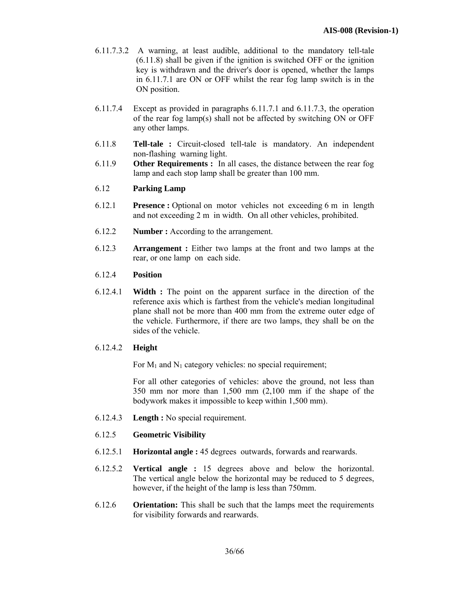- 6.11.7.3.2 A warning, at least audible, additional to the mandatory tell-tale (6.11.8) shall be given if the ignition is switched OFF or the ignition key is withdrawn and the driver's door is opened, whether the lamps in 6.11.7.1 are ON or OFF whilst the rear fog lamp switch is in the ON position.
- 6.11.7.4 Except as provided in paragraphs 6.11.7.1 and 6.11.7.3, the operation of the rear fog lamp(s) shall not be affected by switching ON or OFF any other lamps.
- 6.11.8 **Tell-tale :** Circuit-closed tell-tale is mandatory. An independent non-flashing warning light.
- 6.11.9 **Other Requirements :** In all cases, the distance between the rear fog lamp and each stop lamp shall be greater than 100 mm.

## 6.12 **Parking Lamp**

- 6.12.1 **Presence :** Optional on motor vehicles not exceeding 6 m in length and not exceeding 2 m in width. On all other vehicles, prohibited.
- 6.12.2 **Number :** According to the arrangement.
- 6.12.3 **Arrangement :** Either two lamps at the front and two lamps at the rear, or one lamp on each side.

## 6.12.4 **Position**

6.12.4.1 **Width :** The point on the apparent surface in the direction of the reference axis which is farthest from the vehicle's median longitudinal plane shall not be more than 400 mm from the extreme outer edge of the vehicle. Furthermore, if there are two lamps, they shall be on the sides of the vehicle.

## 6.12.4.2 **Height**

For  $M_1$  and  $N_1$  category vehicles: no special requirement;

For all other categories of vehicles: above the ground, not less than 350 mm nor more than 1,500 mm (2,100 mm if the shape of the bodywork makes it impossible to keep within 1,500 mm).

6.12.4.3 **Length :** No special requirement.

#### 6.12.5 **Geometric Visibility**

- 6.12.5.1 **Horizontal angle :** 45 degrees outwards, forwards and rearwards.
- 6.12.5.2 **Vertical angle :** 15 degrees above and below the horizontal. The vertical angle below the horizontal may be reduced to 5 degrees, however, if the height of the lamp is less than 750mm.
- 6.12.6 **Orientation:** This shall be such that the lamps meet the requirements for visibility forwards and rearwards.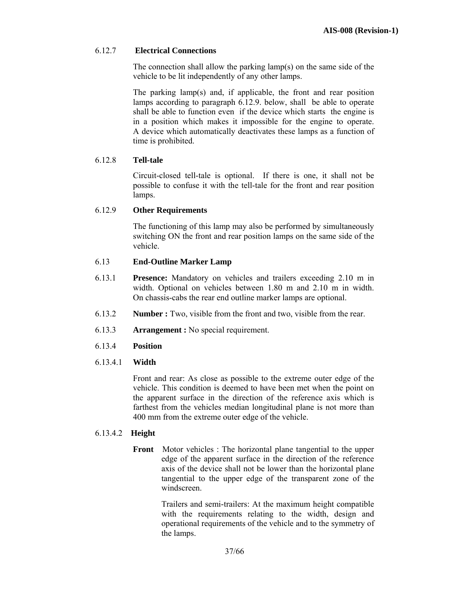## 6.12.7 **Electrical Connections**

 The connection shall allow the parking lamp(s) on the same side of the vehicle to be lit independently of any other lamps.

The parking lamp(s) and, if applicable, the front and rear position lamps according to paragraph 6.12.9. below, shall be able to operate shall be able to function even if the device which starts the engine is in a position which makes it impossible for the engine to operate. A device which automatically deactivates these lamps as a function of time is prohibited.

## 6.12.8 **Tell-tale**

Circuit-closed tell-tale is optional. If there is one, it shall not be possible to confuse it with the tell-tale for the front and rear position lamps.

#### 6.12.9 **Other Requirements**

The functioning of this lamp may also be performed by simultaneously switching ON the front and rear position lamps on the same side of the vehicle.

#### 6.13 **End-Outline Marker Lamp**

- 6.13.1 **Presence:** Mandatory on vehicles and trailers exceeding 2.10 m in width. Optional on vehicles between 1.80 m and 2.10 m in width. On chassis-cabs the rear end outline marker lamps are optional.
- 6.13.2 **Number :** Two, visible from the front and two, visible from the rear.
- 6.13.3 **Arrangement :** No special requirement.
- 6.13.4 **Position**

#### 6.13.4.1 **Width**

Front and rear: As close as possible to the extreme outer edge of the vehicle. This condition is deemed to have been met when the point on the apparent surface in the direction of the reference axis which is farthest from the vehicles median longitudinal plane is not more than 400 mm from the extreme outer edge of the vehicle.

#### 6.13.4.2 **Height**

**Front** Motor vehicles : The horizontal plane tangential to the upper edge of the apparent surface in the direction of the reference axis of the device shall not be lower than the horizontal plane tangential to the upper edge of the transparent zone of the windscreen.

> Trailers and semi-trailers: At the maximum height compatible with the requirements relating to the width, design and operational requirements of the vehicle and to the symmetry of the lamps.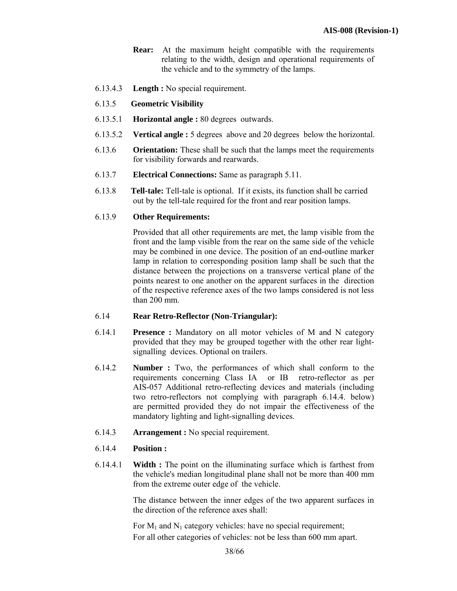- **Rear:** At the maximum height compatible with the requirements relating to the width, design and operational requirements of the vehicle and to the symmetry of the lamps.
- 6.13.4.3 **Length :** No special requirement.

## 6.13.5 **Geometric Visibility**

- 6.13.5.1 **Horizontal angle :** 80 degrees outwards.
- 6.13.5.2 **Vertical angle :** 5 degrees above and 20 degrees below the horizontal.
- 6.13.6 **Orientation:** These shall be such that the lamps meet the requirements for visibility forwards and rearwards.
- 6.13.7 **Electrical Connections:** Same as paragraph 5.11.
- 6.13.8 **Tell-tale:** Tell-tale is optional. If it exists, its function shall be carried out by the tell-tale required for the front and rear position lamps.

## 6.13.9 **Other Requirements:**

Provided that all other requirements are met, the lamp visible from the front and the lamp visible from the rear on the same side of the vehicle may be combined in one device. The position of an end-outline marker lamp in relation to corresponding position lamp shall be such that the distance between the projections on a transverse vertical plane of the points nearest to one another on the apparent surfaces in the direction of the respective reference axes of the two lamps considered is not less than 200 mm.

#### 6.14 **Rear Retro-Reflector (Non-Triangular):**

- 6.14.1 **Presence :** Mandatory on all motor vehicles of M and N category provided that they may be grouped together with the other rear lightsignalling devices. Optional on trailers.
- 6.14.2 **Number :** Two, the performances of which shall conform to the requirements concerning Class IA or IB retro-reflector as per AIS-057 Additional retro-reflecting devices and materials (including two retro-reflectors not complying with paragraph 6.14.4. below) are permitted provided they do not impair the effectiveness of the mandatory lighting and light-signalling devices.
- 6.14.3 **Arrangement :** No special requirement.
- 6.14.4 **Position :**
- 6.14.4.1 **Width :** The point on the illuminating surface which is farthest from the vehicle's median longitudinal plane shall not be more than 400 mm from the extreme outer edge of the vehicle.

The distance between the inner edges of the two apparent surfaces in the direction of the reference axes shall:

For  $M_1$  and  $N_1$  category vehicles: have no special requirement; For all other categories of vehicles: not be less than 600 mm apart.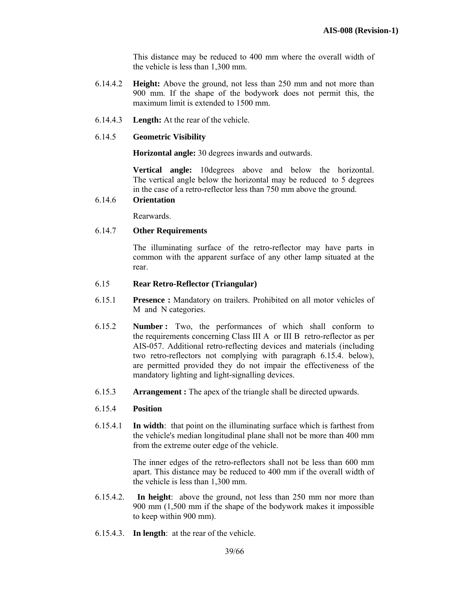This distance may be reduced to 400 mm where the overall width of the vehicle is less than 1,300 mm.

- 6.14.4.2 **Height:** Above the ground, not less than 250 mm and not more than 900 mm. If the shape of the bodywork does not permit this, the maximum limit is extended to 1500 mm.
- 6.14.4.3 **Length:** At the rear of the vehicle.

#### 6.14.5 **Geometric Visibility**

 **Horizontal angle:** 30 degrees inwards and outwards.

**Vertical angle:** 10degrees above and below the horizontal. The vertical angle below the horizontal may be reduced to 5 degrees in the case of a retro-reflector less than 750 mm above the ground.

# 6.14.6 **Orientation**

Rearwards.

## 6.14.7 **Other Requirements**

The illuminating surface of the retro-reflector may have parts in common with the apparent surface of any other lamp situated at the rear.

#### 6.15 **Rear Retro-Reflector (Triangular)**

- 6.15.1 **Presence :** Mandatory on trailers. Prohibited on all motor vehicles of M and N categories.
- 6.15.2 **Number :** Two, the performances of which shall conform to the requirements concerning Class III A or III B retro-reflector as per AIS-057. Additional retro-reflecting devices and materials (including two retro-reflectors not complying with paragraph 6.15.4. below), are permitted provided they do not impair the effectiveness of the mandatory lighting and light-signalling devices.
- 6.15.3 **Arrangement :** The apex of the triangle shall be directed upwards.

#### 6.15.4 **Position**

6.15.4.1 **In width**: that point on the illuminating surface which is farthest from the vehicle's median longitudinal plane shall not be more than 400 mm from the extreme outer edge of the vehicle.

> The inner edges of the retro-reflectors shall not be less than 600 mm apart. This distance may be reduced to 400 mm if the overall width of the vehicle is less than 1,300 mm.

- 6.15.4.2. **In height**: above the ground, not less than 250 mm nor more than 900 mm (1,500 mm if the shape of the bodywork makes it impossible to keep within 900 mm).
- 6.15.4.3. **In length**: at the rear of the vehicle.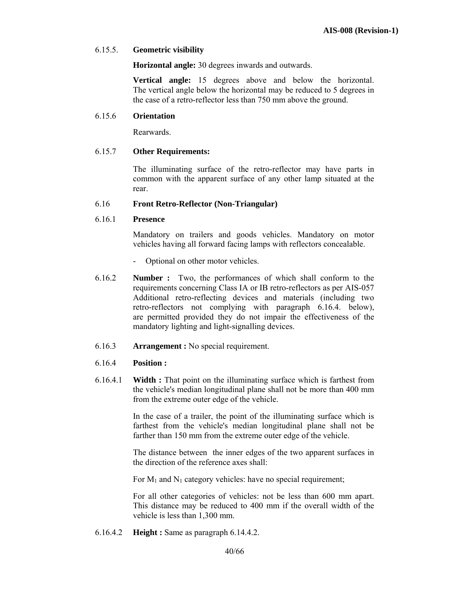## 6.15.5. **Geometric visibility**

 **Horizontal angle:** 30 degrees inwards and outwards.

**Vertical angle:** 15 degrees above and below the horizontal. The vertical angle below the horizontal may be reduced to 5 degrees in the case of a retro-reflector less than 750 mm above the ground.

#### 6.15.6 **Orientation**

Rearwards.

#### 6.15.7 **Other Requirements:**

 The illuminating surface of the retro-reflector may have parts in common with the apparent surface of any other lamp situated at the rear.

#### 6.16 **Front Retro-Reflector (Non-Triangular)**

#### 6.16.1 **Presence**

 Mandatory on trailers and goods vehicles. Mandatory on motor vehicles having all forward facing lamps with reflectors concealable.

- Optional on other motor vehicles.
- 6.16.2 **Number :** Two, the performances of which shall conform to the requirements concerning Class IA or IB retro-reflectors as per AIS-057 Additional retro-reflecting devices and materials (including two retro-reflectors not complying with paragraph 6.16.4. below), are permitted provided they do not impair the effectiveness of the mandatory lighting and light-signalling devices.
- 6.16.3 **Arrangement :** No special requirement.

#### 6.16.4 **Position :**

6.16.4.1 **Width :** That point on the illuminating surface which is farthest from the vehicle's median longitudinal plane shall not be more than 400 mm from the extreme outer edge of the vehicle.

> In the case of a trailer, the point of the illuminating surface which is farthest from the vehicle's median longitudinal plane shall not be farther than 150 mm from the extreme outer edge of the vehicle.

> The distance between the inner edges of the two apparent surfaces in the direction of the reference axes shall:

For  $M_1$  and  $N_1$  category vehicles: have no special requirement;

For all other categories of vehicles: not be less than 600 mm apart. This distance may be reduced to 400 mm if the overall width of the vehicle is less than 1,300 mm.

6.16.4.2 **Height :** Same as paragraph 6.14.4.2.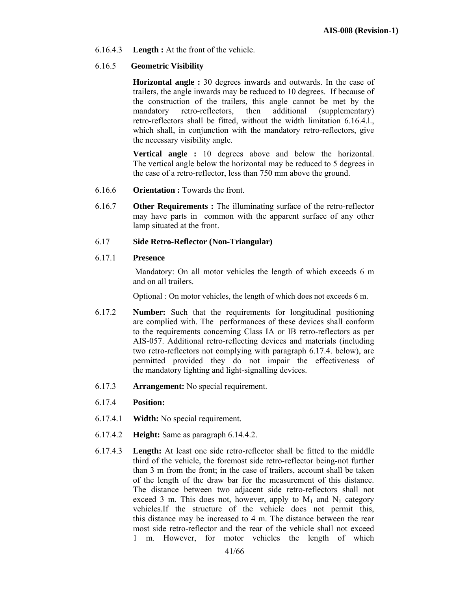6.16.4.3 **Length :** At the front of the vehicle.

## 6.16.5 **Geometric Visibility**

**Horizontal angle :** 30 degrees inwards and outwards. In the case of trailers, the angle inwards may be reduced to 10 degrees. If because of the construction of the trailers, this angle cannot be met by the mandatory retro-reflectors, then additional (supplementary) retro-reflectors shall be fitted, without the width limitation 6.16.4.l., which shall, in conjunction with the mandatory retro-reflectors, give the necessary visibility angle.

 **Vertical angle :** 10 degrees above and below the horizontal. The vertical angle below the horizontal may be reduced to 5 degrees in the case of a retro-reflector, less than 750 mm above the ground.

- 6.16.6 **Orientation :** Towards the front.
- 6.16.7 **Other Requirements :** The illuminating surface of the retro-reflector may have parts in common with the apparent surface of any other lamp situated at the front.

## 6.17 **Side Retro-Reflector (Non-Triangular)**

## 6.17.1 **Presence**

Mandatory: On all motor vehicles the length of which exceeds 6 m and on all trailers.

Optional : On motor vehicles, the length of which does not exceeds 6 m.

- 6.17.2 **Number:** Such that the requirements for longitudinal positioning are complied with. The performances of these devices shall conform to the requirements concerning Class IA or IB retro-reflectors as per AIS-057. Additional retro-reflecting devices and materials (including two retro-reflectors not complying with paragraph 6.17.4. below), are permitted provided they do not impair the effectiveness of the mandatory lighting and light-signalling devices.
- 6.17.3 **Arrangement:** No special requirement.
- 6.17.4 **Position:**
- 6.17.4.1 **Width:** No special requirement.
- 6.17.4.2 **Height:** Same as paragraph 6.14.4.2.
- 6.17.4.3 **Length:** At least one side retro-reflector shall be fitted to the middle third of the vehicle, the foremost side retro-reflector being-not further than 3 m from the front; in the case of trailers, account shall be taken of the length of the draw bar for the measurement of this distance. The distance between two adjacent side retro-reflectors shall not exceed 3 m. This does not, however, apply to  $M_1$  and  $N_1$  category vehicles.If the structure of the vehicle does not permit this, this distance may be increased to 4 m. The distance between the rear most side retro-reflector and the rear of the vehicle shall not exceed 1 m. However, for motor vehicles the length of which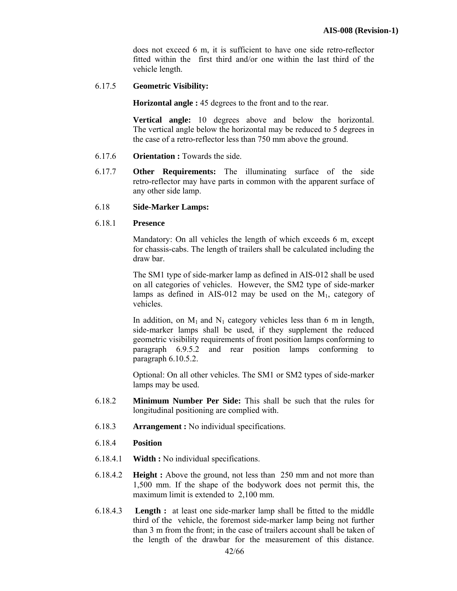does not exceed 6 m, it is sufficient to have one side retro-reflector fitted within the first third and/or one within the last third of the vehicle length.

6.17.5 **Geometric Visibility:** 

**Horizontal angle :** 45 degrees to the front and to the rear.

**Vertical angle:** 10 degrees above and below the horizontal. The vertical angle below the horizontal may be reduced to 5 degrees in the case of a retro-reflector less than 750 mm above the ground.

- 6.17.6 **Orientation :** Towards the side.
- 6.17.7 **Other Requirements:** The illuminating surface of the side retro-reflector may have parts in common with the apparent surface of any other side lamp.
- 6.18 **Side-Marker Lamps:**

#### 6.18.1 **Presence**

 Mandatory: On all vehicles the length of which exceeds 6 m, except for chassis-cabs. The length of trailers shall be calculated including the draw bar.

The SM1 type of side-marker lamp as defined in AIS-012 shall be used on all categories of vehicles. However, the SM2 type of side-marker lamps as defined in AIS-012 may be used on the  $M_1$ , category of vehicles.

In addition, on  $M_1$  and  $N_1$  category vehicles less than 6 m in length, side-marker lamps shall be used, if they supplement the reduced geometric visibility requirements of front position lamps conforming to paragraph 6.9.5.2 and rear position lamps conforming to paragraph 6.10.5.2.

Optional: On all other vehicles. The SM1 or SM2 types of side-marker lamps may be used.

- 6.18.2 **Minimum Number Per Side:** This shall be such that the rules for longitudinal positioning are complied with.
- 6.18.3 **Arrangement :** No individual specifications.
- 6.18.4 **Position**
- 6.18.4.1 **Width :** No individual specifications.
- 6.18.4.2 **Height :** Above the ground, not less than 250 mm and not more than 1,500 mm. If the shape of the bodywork does not permit this, the maximum limit is extended to 2,100 mm.
- 6.18.4.3 **Length :** at least one side-marker lamp shall be fitted to the middle third of the vehicle, the foremost side-marker lamp being not further than 3 m from the front; in the case of trailers account shall be taken of the length of the drawbar for the measurement of this distance.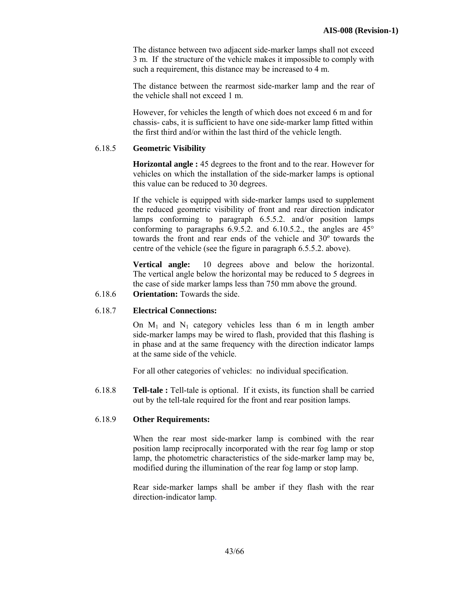The distance between two adjacent side-marker lamps shall not exceed 3 m. If the structure of the vehicle makes it impossible to comply with such a requirement, this distance may be increased to 4 m.

The distance between the rearmost side-marker lamp and the rear of the vehicle shall not exceed 1 m.

However, for vehicles the length of which does not exceed 6 m and for chassis- cabs, it is sufficient to have one side-marker lamp fitted within the first third and/or within the last third of the vehicle length.

## 6.18.5 **Geometric Visibility**

**Horizontal angle :** 45 degrees to the front and to the rear. However for vehicles on which the installation of the side-marker lamps is optional this value can be reduced to 30 degrees.

If the vehicle is equipped with side-marker lamps used to supplement the reduced geometric visibility of front and rear direction indicator lamps conforming to paragraph 6.5.5.2. and/or position lamps conforming to paragraphs 6.9.5.2. and 6.10.5.2., the angles are 45° towards the front and rear ends of the vehicle and 30º towards the centre of the vehicle (see the figure in paragraph 6.5.5.2. above).

**Vertical angle:** 10 degrees above and below the horizontal. The vertical angle below the horizontal may be reduced to 5 degrees in the case of side marker lamps less than 750 mm above the ground.

6.18.6 **Orientation:** Towards the side.

## 6.18.7 **Electrical Connections:**

On  $M_1$  and  $N_1$  category vehicles less than 6 m in length amber side-marker lamps may be wired to flash, provided that this flashing is in phase and at the same frequency with the direction indicator lamps at the same side of the vehicle.

For all other categories of vehicles: no individual specification.

6.18.8 **Tell-tale :** Tell-tale is optional. If it exists, its function shall be carried out by the tell-tale required for the front and rear position lamps.

## 6.18.9 **Other Requirements:**

 When the rear most side-marker lamp is combined with the rear position lamp reciprocally incorporated with the rear fog lamp or stop lamp, the photometric characteristics of the side-marker lamp may be, modified during the illumination of the rear fog lamp or stop lamp.

Rear side-marker lamps shall be amber if they flash with the rear direction-indicator lamp.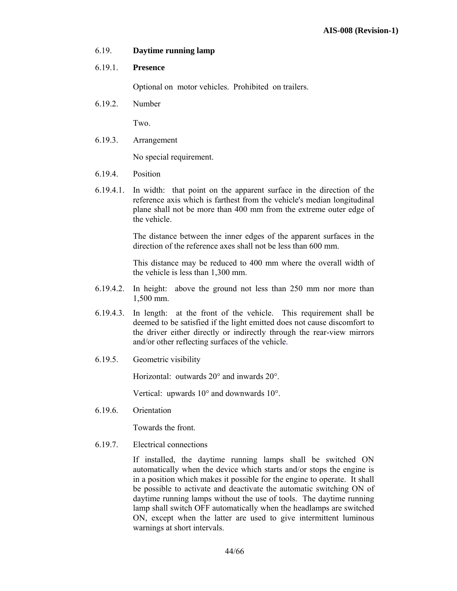## 6.19. **Daytime running lamp**

## 6.19.1. **Presence**

Optional on motor vehicles. Prohibited on trailers.

6.19.2. Number

Two.

6.19.3. Arrangement

No special requirement.

- 6.19.4. Position
- 6.19.4.1. In width: that point on the apparent surface in the direction of the reference axis which is farthest from the vehicle's median longitudinal plane shall not be more than 400 mm from the extreme outer edge of the vehicle.

 The distance between the inner edges of the apparent surfaces in the direction of the reference axes shall not be less than 600 mm.

This distance may be reduced to 400 mm where the overall width of the vehicle is less than 1,300 mm.

- 6.19.4.2. In height: above the ground not less than 250 mm nor more than 1,500 mm.
- 6.19.4.3. In length: at the front of the vehicle. This requirement shall be deemed to be satisfied if the light emitted does not cause discomfort to the driver either directly or indirectly through the rear-view mirrors and/or other reflecting surfaces of the vehicle.
- 6.19.5. Geometric visibility

Horizontal: outwards 20° and inwards 20°.

Vertical: upwards 10° and downwards 10°.

6.19.6. Orientation

Towards the front.

6.19.7. Electrical connections

If installed, the daytime running lamps shall be switched ON automatically when the device which starts and/or stops the engine is in a position which makes it possible for the engine to operate. It shall be possible to activate and deactivate the automatic switching ON of daytime running lamps without the use of tools. The daytime running lamp shall switch OFF automatically when the headlamps are switched ON, except when the latter are used to give intermittent luminous warnings at short intervals.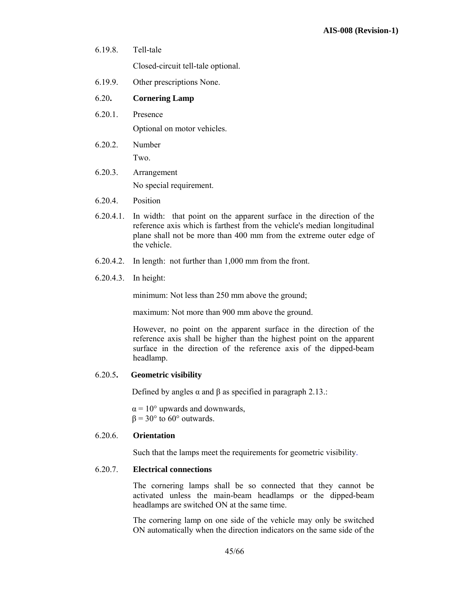- 6.19.8. Tell-tale Closed-circuit tell-tale optional.
- 6.19.9. Other prescriptions None.
- 6.20**. Cornering Lamp**
- 6.20.1. Presence

Optional on motor vehicles.

- 6.20.2. Number Two.
- 6.20.3. Arrangement No special requirement.
- 6.20.4. Position
- 6.20.4.1. In width: that point on the apparent surface in the direction of the reference axis which is farthest from the vehicle's median longitudinal plane shall not be more than 400 mm from the extreme outer edge of the vehicle.
- 6.20.4.2. In length: not further than 1,000 mm from the front.
- 6.20.4.3. In height:

minimum: Not less than 250 mm above the ground;

maximum: Not more than 900 mm above the ground.

 However, no point on the apparent surface in the direction of the reference axis shall be higher than the highest point on the apparent surface in the direction of the reference axis of the dipped-beam headlamp.

#### 6.20.5**. Geometric visibility**

Defined by angles  $\alpha$  and  $\beta$  as specified in paragraph 2.13.:

 $\alpha$  = 10° upwards and downwards,  $β = 30°$  to 60° outwards.

#### 6.20.6. **Orientation**

Such that the lamps meet the requirements for geometric visibility.

#### 6.20.7. **Electrical connections**

The cornering lamps shall be so connected that they cannot be activated unless the main-beam headlamps or the dipped-beam headlamps are switched ON at the same time.

The cornering lamp on one side of the vehicle may only be switched ON automatically when the direction indicators on the same side of the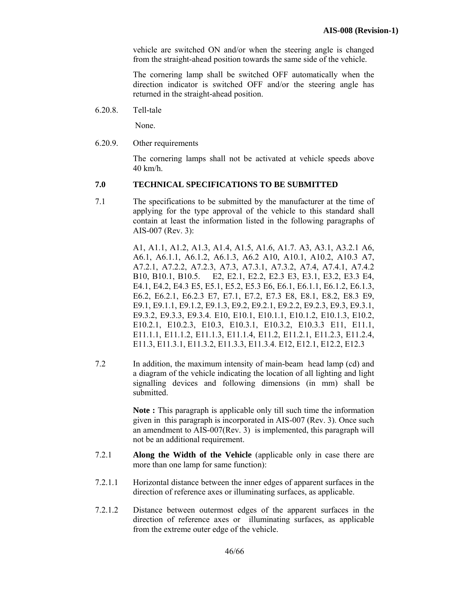vehicle are switched ON and/or when the steering angle is changed from the straight-ahead position towards the same side of the vehicle.

 The cornering lamp shall be switched OFF automatically when the direction indicator is switched OFF and/or the steering angle has returned in the straight-ahead position.

6.20.8. Tell-tale Ì

None.

6.20.9. Other requirements

 The cornering lamps shall not be activated at vehicle speeds above 40 km/h.

## **7.0 TECHNICAL SPECIFICATIONS TO BE SUBMITTED**

7.1 The specifications to be submitted by the manufacturer at the time of applying for the type approval of the vehicle to this standard shall contain at least the information listed in the following paragraphs of AIS-007 (Rev. 3):

> A1, A1.1, A1.2, A1.3, A1.4, A1.5, A1.6, A1.7. A3, A3.1, A3.2.1 A6, A6.1, A6.1.1, A6.1.2, A6.1.3, A6.2 A10, A10.1, A10.2, A10.3 A7, A7.2.1, A7.2.2, A7.2.3, A7.3, A7.3.1, A7.3.2, A7.4, A7.4.1, A7.4.2 B10, B10.1, B10.5. E2, E2.1, E2.2, E2.3 E3, E3.1, E3.2, E3.3 E4, E4.1, E4.2, E4.3 E5, E5.1, E5.2, E5.3 E6, E6.1, E6.1.1, E6.1.2, E6.1.3, E6.2, E6.2.1, E6.2.3 E7, E7.1, E7.2, E7.3 E8, E8.1, E8.2, E8.3 E9, E9.1, E9.1.1, E9.1.2, E9.1.3, E9.2, E9.2.1, E9.2.2, E9.2.3, E9.3, E9.3.1, E9.3.2, E9.3.3, E9.3.4. E10, E10.1, E10.1.1, E10.1.2, E10.1.3, E10.2, E10.2.1, E10.2.3, E10.3, E10.3.1, E10.3.2, E10.3.3 E11, E11.1, E11.1.1, E11.1.2, E11.1.3, E11.1.4, E11.2, E11.2.1, E11.2.3, E11.2.4, E11.3, E11.3.1, E11.3.2, E11.3.3, E11.3.4. E12, E12.1, E12.2, E12.3

7.2 In addition, the maximum intensity of main-beam head lamp (cd) and a diagram of the vehicle indicating the location of all lighting and light signalling devices and following dimensions (in mm) shall be submitted.

> **Note :** This paragraph is applicable only till such time the information given in this paragraph is incorporated in AIS-007 (Rev. 3). Once such an amendment to AIS-007(Rev. 3) is implemented, this paragraph will not be an additional requirement.

- 7.2.1 **Along the Width of the Vehicle** (applicable only in case there are more than one lamp for same function):
- 7.2.1.1 Horizontal distance between the inner edges of apparent surfaces in the direction of reference axes or illuminating surfaces, as applicable.
- 7.2.1.2 Distance between outermost edges of the apparent surfaces in the direction of reference axes or illuminating surfaces, as applicable from the extreme outer edge of the vehicle.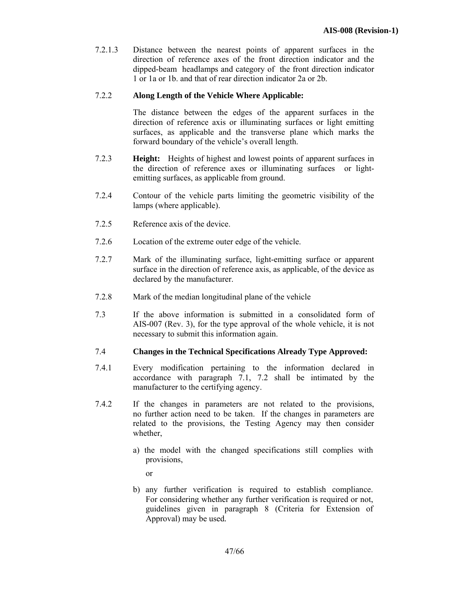7.2.1.3 Distance between the nearest points of apparent surfaces in the direction of reference axes of the front direction indicator and the dipped-beam headlamps and category of the front direction indicator 1 or 1a or 1b. and that of rear direction indicator 2a or 2b.

## 7.2.2 **Along Length of the Vehicle Where Applicable:**

The distance between the edges of the apparent surfaces in the direction of reference axis or illuminating surfaces or light emitting surfaces, as applicable and the transverse plane which marks the forward boundary of the vehicle's overall length.

- 7.2.3 **Height:** Heights of highest and lowest points of apparent surfaces in the direction of reference axes or illuminating surfaces or lightemitting surfaces, as applicable from ground.
- 7.2.4 Contour of the vehicle parts limiting the geometric visibility of the lamps (where applicable).
- 7.2.5 Reference axis of the device.
- 7.2.6 Location of the extreme outer edge of the vehicle.
- 7.2.7 Mark of the illuminating surface, light-emitting surface or apparent surface in the direction of reference axis, as applicable, of the device as declared by the manufacturer.
- 7.2.8 Mark of the median longitudinal plane of the vehicle
- 7.3 If the above information is submitted in a consolidated form of AIS-007 (Rev. 3), for the type approval of the whole vehicle, it is not necessary to submit this information again.

#### 7.4 **Changes in the Technical Specifications Already Type Approved:**

- 7.4.1 Every modification pertaining to the information declared in accordance with paragraph 7.1, 7.2 shall be intimated by the manufacturer to the certifying agency.
- 7.4.2 If the changes in parameters are not related to the provisions, no further action need to be taken. If the changes in parameters are related to the provisions, the Testing Agency may then consider whether,
	- a) the model with the changed specifications still complies with provisions,

or

b) any further verification is required to establish compliance. For considering whether any further verification is required or not, guidelines given in paragraph 8 (Criteria for Extension of Approval) may be used*.*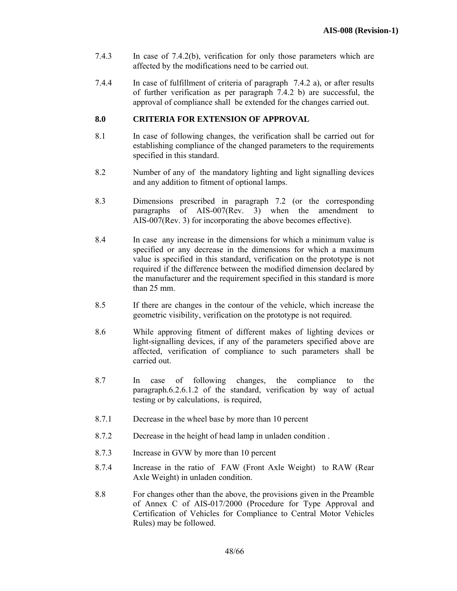- 7.4.3 In case of 7.4.2(b), verification for only those parameters which are affected by the modifications need to be carried out.
- 7.4.4 In case of fulfillment of criteria of paragraph 7.4.2 a), or after results of further verification as per paragraph 7.4.2 b) are successful, the approval of compliance shall be extended for the changes carried out.

## **8.0 CRITERIA FOR EXTENSION OF APPROVAL**

- 8.1 In case of following changes, the verification shall be carried out for establishing compliance of the changed parameters to the requirements specified in this standard.
- 8.2 Number of any of the mandatory lighting and light signalling devices and any addition to fitment of optional lamps.
- 8.3 Dimensions prescribed in paragraph 7.2 (or the corresponding paragraphs of AIS-007(Rev. 3) when the amendment to AIS-007(Rev. 3) for incorporating the above becomes effective).
- 8.4 In case any increase in the dimensions for which a minimum value is specified or any decrease in the dimensions for which a maximum value is specified in this standard, verification on the prototype is not required if the difference between the modified dimension declared by the manufacturer and the requirement specified in this standard is more than 25 mm.
- 8.5 If there are changes in the contour of the vehicle, which increase the geometric visibility, verification on the prototype is not required.
- 8.6 While approving fitment of different makes of lighting devices or light-signalling devices, if any of the parameters specified above are affected, verification of compliance to such parameters shall be carried out.
- 8.7 In case of following changes, the compliance to the paragraph.6.2.6.1.2 of the standard, verification by way of actual testing or by calculations, is required,
- 8.7.1 Decrease in the wheel base by more than 10 percent
- 8.7.2 Decrease in the height of head lamp in unladen condition .
- 8.7.3 Increase in GVW by more than 10 percent
- 8.7.4 Increase in the ratio of FAW (Front Axle Weight) to RAW (Rear Axle Weight) in unladen condition.
- 8.8 For changes other than the above, the provisions given in the Preamble of Annex C of AIS-017/2000 (Procedure for Type Approval and Certification of Vehicles for Compliance to Central Motor Vehicles Rules) may be followed.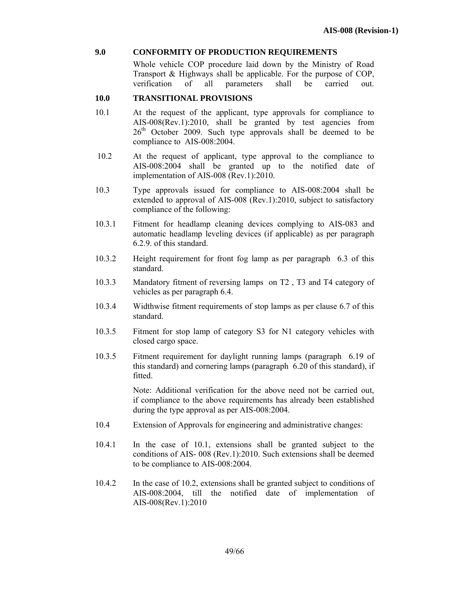## **9.0 CONFORMITY OF PRODUCTION REQUIREMENTS**

 Whole vehicle COP procedure laid down by the Ministry of Road Transport & Highways shall be applicable. For the purpose of COP, verification of all parameters shall be carried out.

# **10.0 TRANSITIONAL PROVISIONS**  $\frac{10.0}{10.1}$

- At the request of the applicant, type approvals for compliance to AIS-008(Rev.1):2010, shall be granted by test agencies from  $26<sup>th</sup>$  October 2009. Such type approvals shall be deemed to be compliance to AIS-008:2004.
- 10.2 At the request of applicant, type approval to the compliance to AIS-008:2004 shall be granted up to the notified date of implementation of AIS-008 (Rev.1):2010.
- 10.3 Type approvals issued for compliance to AIS-008:2004 shall be extended to approval of AIS-008 (Rev.1):2010, subject to satisfactory compliance of the following:
- 10.3.1 Fitment for headlamp cleaning devices complying to AIS-083 and automatic headlamp leveling devices (if applicable) as per paragraph 6.2.9. of this standard.
- 10.3.2 Height requirement for front fog lamp as per paragraph 6.3 of this standard.
- 10.3.3 Mandatory fitment of reversing lamps on T2 , T3 and T4 category of vehicles as per paragraph 6.4.
- 10.3.4 Widthwise fitment requirements of stop lamps as per clause 6.7 of this standard.
- 10.3.5 Fitment for stop lamp of category S3 for N1 category vehicles with closed cargo space.
- 10.3.5 Fitment requirement for daylight running lamps (paragraph 6.19 of this standard) and cornering lamps (paragraph 6.20 of this standard), if fitted.

 Note: Additional verification for the above need not be carried out, if compliance to the above requirements has already been established during the type approval as per AIS-008:2004.

- 10.4 Extension of Approvals for engineering and administrative changes:
- 10.4.1 In the case of 10.1, extensions shall be granted subject to the conditions of AIS- 008 (Rev.1):2010. Such extensions shall be deemed to be compliance to AIS-008:2004.
- 10.4.2 In the case of 10.2, extensions shall be granted subject to conditions of AIS-008:2004, till the notified date of implementation of AIS-008(Rev.1):2010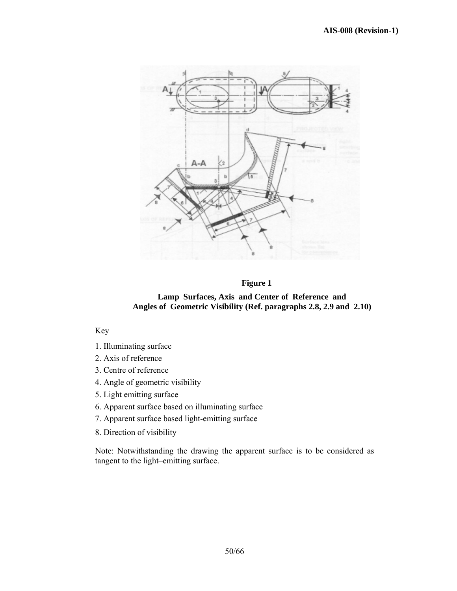

## **Figure 1**

**Lamp Surfaces, Axis and Center of Reference and Angles of Geometric Visibility (Ref. paragraphs 2.8, 2.9 and 2.10)** 

Key

- 1. Illuminating surface
- 2. Axis of reference
- 3. Centre of reference
- 4. Angle of geometric visibility
- 5. Light emitting surface
- 6. Apparent surface based on illuminating surface
- 7. Apparent surface based light-emitting surface
- 8. Direction of visibility

Note: Notwithstanding the drawing the apparent surface is to be considered as tangent to the light–emitting surface.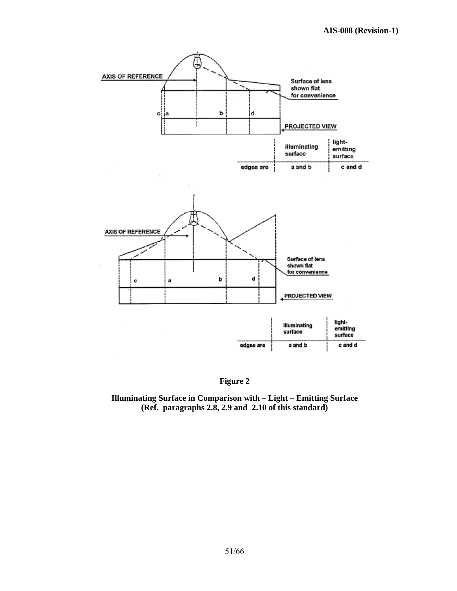

**Figure 2** 

**Illuminating Surface in Comparison with – Light – Emitting Surface (Ref. paragraphs 2.8, 2.9 and 2.10 of this standard)**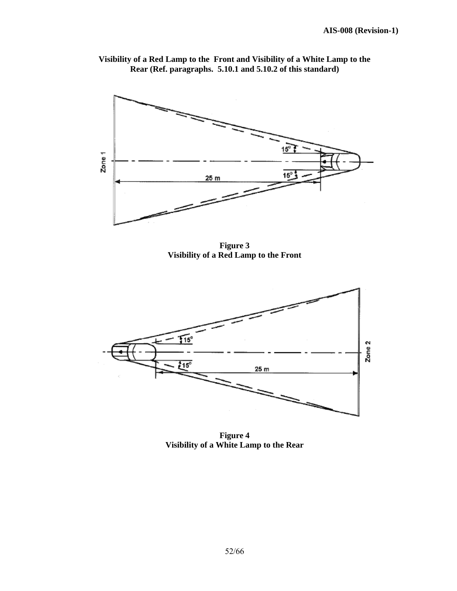

**Visibility of a Red Lamp to the Front and Visibility of a White Lamp to the Rear (Ref. paragraphs. 5.10.1 and 5.10.2 of this standard)** 

**Figure 3 Visibility of a Red Lamp to the Front** 



**Figure 4 Visibility of a White Lamp to the Rear**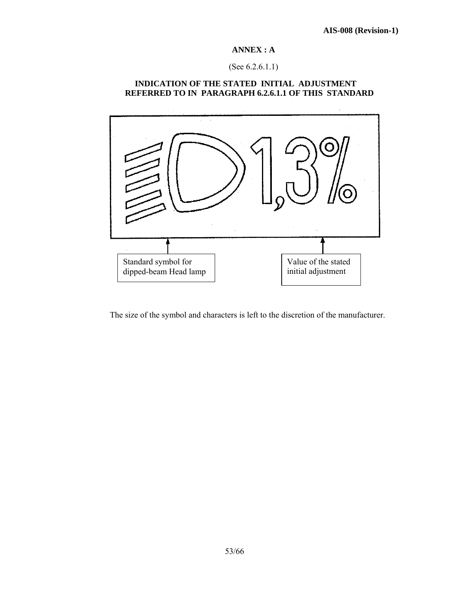## **ANNEX : A**

# (See 6.2.6.1.1)

# **INDICATION OF THE STATED INITIAL ADJUSTMENT REFERRED TO IN PARAGRAPH 6.2.6.1.1 OF THIS STANDARD**



The size of the symbol and characters is left to the discretion of the manufacturer.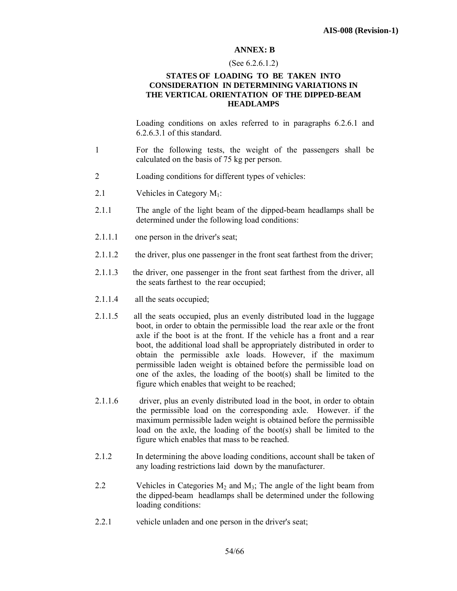#### **ANNEX: B**

#### (See 6.2.6.1.2)

#### **STATES OF LOADING TO BE TAKEN INTO CONSIDERATION IN DETERMINING VARIATIONS IN THE VERTICAL ORIENTATION OF THE DIPPED-BEAM HEADLAMPS**

 Loading conditions on axles referred to in paragraphs 6.2.6.1 and 6.2.6.3.1 of this standard.

- 1 For the following tests, the weight of the passengers shall be calculated on the basis of 75 kg per person.
- 2 Loading conditions for different types of vehicles:
- 2.1 Vehicles in Category  $M_1$ :
- 2.1.1 The angle of the light beam of the dipped-beam headlamps shall be determined under the following load conditions:
- 2.1.1.1 one person in the driver's seat;
- 2.1.1.2 the driver, plus one passenger in the front seat farthest from the driver;
- 2.1.1.3 the driver, one passenger in the front seat farthest from the driver, all the seats farthest to the rear occupied;
- 2.1.1.4 all the seats occupied;
- 2.1.1.5 all the seats occupied, plus an evenly distributed load in the luggage boot, in order to obtain the permissible load the rear axle or the front axle if the boot is at the front. If the vehicle has a front and a rear boot, the additional load shall be appropriately distributed in order to obtain the permissible axle loads. However, if the maximum permissible laden weight is obtained before the permissible load on one of the axles, the loading of the boot(s) shall be limited to the figure which enables that weight to be reached;
- 2.1.1.6 driver, plus an evenly distributed load in the boot, in order to obtain the permissible load on the corresponding axle. However. if the maximum permissible laden weight is obtained before the permissible load on the axle, the loading of the boot(s) shall be limited to the figure which enables that mass to be reached.
- 2.1.2 In determining the above loading conditions, account shall be taken of any loading restrictions laid down by the manufacturer.
- 2.2 Vehicles in Categories  $M_2$  and  $M_3$ ; The angle of the light beam from the dipped-beam headlamps shall be determined under the following loading conditions:
- 2.2.1 vehicle unladen and one person in the driver's seat;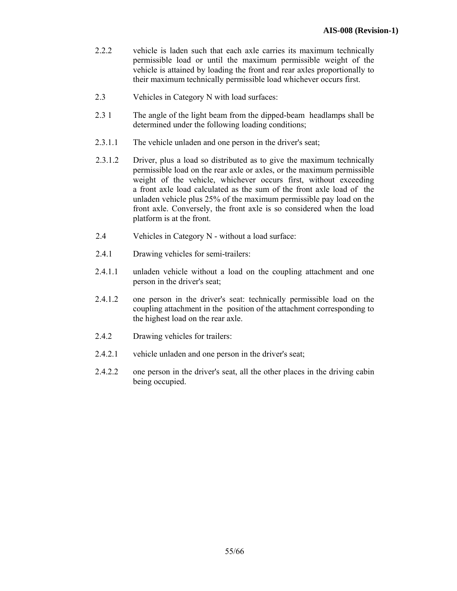- 2.2.2 vehicle is laden such that each axle carries its maximum technically permissible load or until the maximum permissible weight of the vehicle is attained by loading the front and rear axles proportionally to their maximum technically permissible load whichever occurs first.
- 2.3 Vehicles in Category N with load surfaces:
- 2.3 1 The angle of the light beam from the dipped-beam headlamps shall be determined under the following loading conditions;
- 2.3.1.1 The vehicle unladen and one person in the driver's seat;
- 2.3.1.2 Driver, plus a load so distributed as to give the maximum technically permissible load on the rear axle or axles, or the maximum permissible weight of the vehicle, whichever occurs first, without exceeding a front axle load calculated as the sum of the front axle load of the unladen vehicle plus 25% of the maximum permissible pay load on the front axle. Conversely, the front axle is so considered when the load platform is at the front.
- 2.4 Vehicles in Category N without a load surface:
- 2.4.1 Drawing vehicles for semi-trailers:
- 2.4.1.1 unladen vehicle without a load on the coupling attachment and one person in the driver's seat;
- 2.4.1.2 one person in the driver's seat: technically permissible load on the coupling attachment in the position of the attachment corresponding to the highest load on the rear axle.
- 2.4.2 Drawing vehicles for trailers:
- 2.4.2.1 vehicle unladen and one person in the driver's seat;
- 2.4.2.2 one person in the driver's seat, all the other places in the driving cabin being occupied.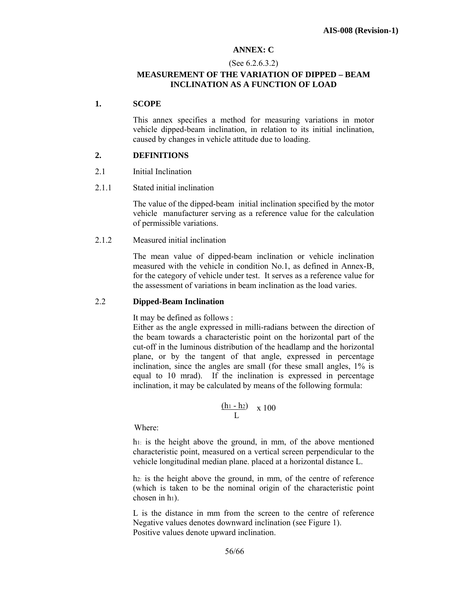## **ANNEX: C**

#### (See 6.2.6.3.2)

## **MEASUREMENT OF THE VARIATION OF DIPPED – BEAM INCLINATION AS A FUNCTION OF LOAD**

#### **1. SCOPE**

This annex specifies a method for measuring variations in motor vehicle dipped-beam inclination, in relation to its initial inclination, caused by changes in vehicle attitude due to loading.

#### **2. DEFINITIONS**

- 2.1 Initial Inclination
- 2.1.1 Stated initial inclination

The value of the dipped-beam initial inclination specified by the motor vehicle manufacturer serving as a reference value for the calculation of permissible variations.

2.1.2 Measured initial inclination

The mean value of dipped-beam inclination or vehicle inclination measured with the vehicle in condition No.1, as defined in Annex-B, for the category of vehicle under test. It serves as a reference value for the assessment of variations in beam inclination as the load varies.

#### 2.2 **Dipped-Beam Inclination**

It may be defined as follows :

 Either as the angle expressed in milli-radians between the direction of the beam towards a characteristic point on the horizontal part of the cut-off in the luminous distribution of the headlamp and the horizontal plane, or by the tangent of that angle, expressed in percentage inclination, since the angles are small (for these small angles, 1% is equal to 10 mrad). If the inclination is expressed in percentage inclination, it may be calculated by means of the following formula:

$$
\frac{(h_1 - h_2)}{L} \quad x \; 100
$$

Where:

h<sub>1:</sub> is the height above the ground, in mm, of the above mentioned characteristic point, measured on a vertical screen perpendicular to the vehicle longitudinal median plane. placed at a horizontal distance L.

h2: is the height above the ground, in mm, of the centre of reference (which is taken to be the nominal origin of the characteristic point chosen in h<sub>1</sub>).

L is the distance in mm from the screen to the centre of reference Negative values denotes downward inclination (see Figure 1). Positive values denote upward inclination.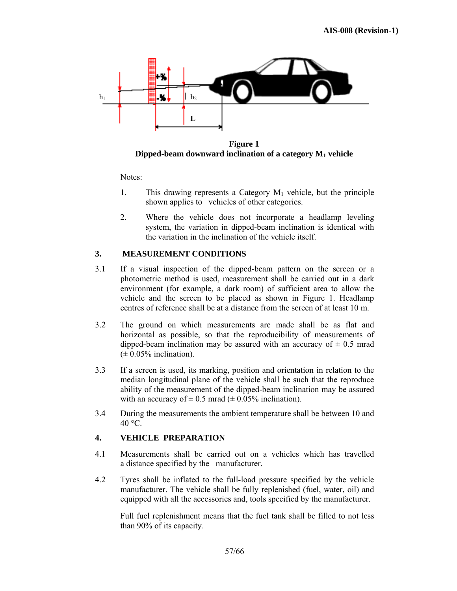

**Figure 1 Dipped-beam downward inclination of a category M1 vehicle**

Notes:

- 1. This drawing represents a Category  $M_1$  vehicle, but the principle shown applies to vehicles of other categories.
- 2. Where the vehicle does not incorporate a headlamp leveling system, the variation in dipped-beam inclination is identical with the variation in the inclination of the vehicle itself.

# **3. MEASUREMENT CONDITIONS**

- 3.1 If a visual inspection of the dipped-beam pattern on the screen or a photometric method is used, measurement shall be carried out in a dark environment (for example, a dark room) of sufficient area to allow the vehicle and the screen to be placed as shown in Figure 1. Headlamp centres of reference shall be at a distance from the screen of at least 10 m.
- 3.2 The ground on which measurements are made shall be as flat and horizontal as possible, so that the reproducibility of measurements of dipped-beam inclination may be assured with an accuracy of  $\pm$  0.5 mrad  $(\pm 0.05\%$  inclination).
- 3.3 If a screen is used, its marking, position and orientation in relation to the median longitudinal plane of the vehicle shall be such that the reproduce ability of the measurement of the dipped-beam inclination may be assured with an accuracy of  $\pm$  0.5 mrad ( $\pm$  0.05% inclination).
- 3.4 During the measurements the ambient temperature shall be between 10 and  $40 °C$ .

## **4. VEHICLE PREPARATION**

- 4.1 Measurements shall be carried out on a vehicles which has travelled a distance specified by the manufacturer.
- 4.2 Tyres shall be inflated to the full-load pressure specified by the vehicle manufacturer. The vehicle shall be fully replenished (fuel, water, oil) and equipped with all the accessories and, tools specified by the manufacturer.

 Full fuel replenishment means that the fuel tank shall be filled to not less than 90% of its capacity.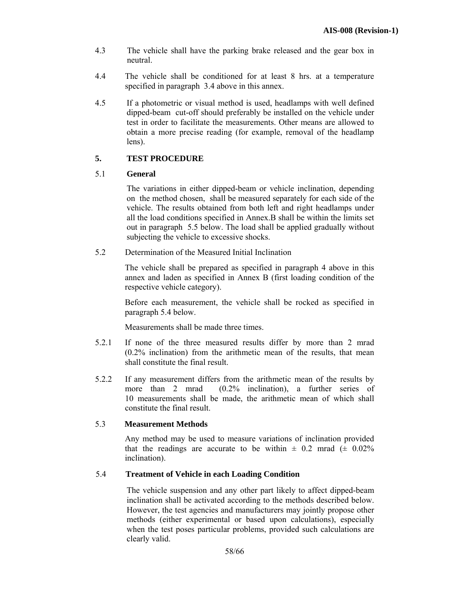- 4.3 The vehicle shall have the parking brake released and the gear box in neutral.
- 4.4 The vehicle shall be conditioned for at least 8 hrs. at a temperature specified in paragraph 3.4 above in this annex.
- 4.5 If a photometric or visual method is used, headlamps with well defined dipped-beam cut-off should preferably be installed on the vehicle under test in order to facilitate the measurements. Other means are allowed to obtain a more precise reading (for example, removal of the headlamp lens).

# **5. TEST PROCEDURE**

## 5.1 **General**

The variations in either dipped-beam or vehicle inclination, depending on the method chosen, shall be measured separately for each side of the vehicle. The results obtained from both left and right headlamps under all the load conditions specified in Annex.B shall be within the limits set out in paragraph 5.5 below. The load shall be applied gradually without subjecting the vehicle to excessive shocks.

5.2 Determination of the Measured Initial Inclination

The vehicle shall be prepared as specified in paragraph 4 above in this annex and laden as specified in Annex B (first loading condition of the respective vehicle category).

Before each measurement, the vehicle shall be rocked as specified in paragraph 5.4 below.

Measurements shall be made three times.

- 5.2.1 If none of the three measured results differ by more than 2 mrad (0.2% inclination) from the arithmetic mean of the results, that mean shall constitute the final result.
- 5.2.2 If any measurement differs from the arithmetic mean of the results by more than 2 mrad (0.2% inclination), a further series of 10 measurements shall be made, the arithmetic mean of which shall constitute the final result.

## 5.3 **Measurement Methods**

Any method may be used to measure variations of inclination provided that the readings are accurate to be within  $\pm$  0.2 mrad ( $\pm$  0.02%) inclination).

## 5.4 **Treatment of Vehicle in each Loading Condition**

The vehicle suspension and any other part likely to affect dipped-beam inclination shall be activated according to the methods described below. However, the test agencies and manufacturers may jointly propose other methods (either experimental or based upon calculations), especially when the test poses particular problems, provided such calculations are clearly valid.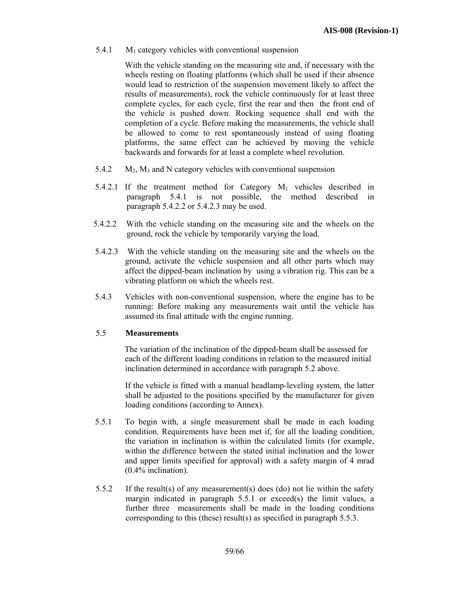5.4.1  $M_1$  category vehicles with conventional suspension

With the vehicle standing on the measuring site and, if necessary with the wheels resting on floating platforms (which shall be used if their absence would lead to restriction of the suspension movement likely to affect the results of measurements), rock the vehicle continuously for at least three complete cycles, for each cycle, first the rear and then the front end of the vehicle is pushed down. Rocking sequence shall end with the completion of a cycle. Before making the measurements, the vehicle shall be allowed to come to rest spontaneously instead of using floating platforms, the same effect can be achieved by moving the vehicle backwards and forwards for at least a complete wheel revolution.

- 5.4.2  $M_2$ ,  $M_3$  and N category vehicles with conventional suspension
- 5.4.2.1 If the treatment method for Category  $M_1$  vehicles described in paragraph 5.4.1 is not possible, the method described in paragraph 5.4.2.2 or 5.4.2.3 may be used.
- 5.4.2.2 With the vehicle standing on the measuring site and the wheels on the ground, rock the vehicle by temporarily varying the load.
- 5.4.2.3 With the vehicle standing on the measuring site and the wheels on the ground, activate the vehicle suspension and all other parts which may affect the dipped-beam inclination by using a vibration rig. This can be a vibrating platform on which the wheels rest.
- 5.4.3 Vehicles with non-conventional suspension, where the engine has to be running: Before making any measurements wait until the vehicle has assumed its final attitude with the engine running.

#### 5.5 **Measurements**

 The variation of the inclination of the dipped-beam shall be assessed for each of the different loading conditions in relation to the measured initial inclination determined in accordance with paragraph 5.2 above.

If the vehicle is fitted with a manual headlamp-leveling system, the latter shall be adjusted to the positions specified by the manufacturer for given loading conditions (according to Annex).

- 5.5.1 To begin with, a single measurement shall be made in each loading condition. Requirements have been met if, for all the loading condition, the variation in inclination is within the calculated limits (for example, within the difference between the stated initial inclination and the lower and upper limits specified for approval) with a safety margin of 4 mrad (0.4% inclination).
- 5.5.2 If the result(s) of any measurement(s) does (do) not lie within the safety margin indicated in paragraph 5.5.1 or exceed(s) the limit values, a further three measurements shall be made in the loading conditions corresponding to this (these) result(s) as specified in paragraph 5.5.3.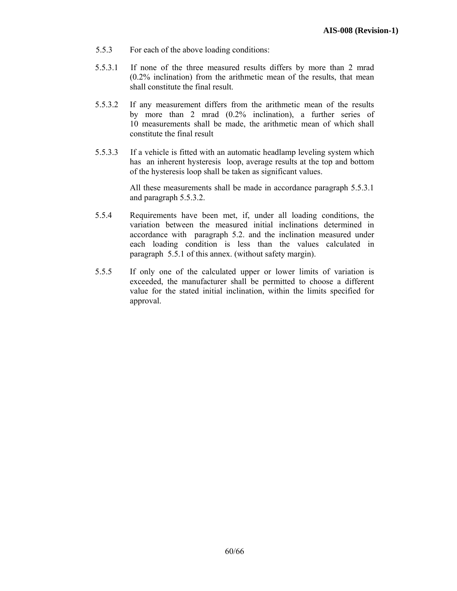- 5.5.3 For each of the above loading conditions:
- 5.5.3.1 If none of the three measured results differs by more than 2 mrad (0.2% inclination) from the arithmetic mean of the results, that mean shall constitute the final result.
- 5.5.3.2 If any measurement differs from the arithmetic mean of the results by more than 2 mrad (0.2% inclination), a further series of 10 measurements shall be made, the arithmetic mean of which shall constitute the final result
- 5.5.3.3 If a vehicle is fitted with an automatic headlamp leveling system which has an inherent hysteresis loop, average results at the top and bottom of the hysteresis loop shall be taken as significant values.

All these measurements shall be made in accordance paragraph 5.5.3.1 and paragraph 5.5.3.2.

- 5.5.4 Requirements have been met, if, under all loading conditions, the variation between the measured initial inclinations determined in accordance with paragraph 5.2. and the inclination measured under each loading condition is less than the values calculated in paragraph 5.5.1 of this annex. (without safety margin).
- 5.5.5 If only one of the calculated upper or lower limits of variation is exceeded, the manufacturer shall be permitted to choose a different value for the stated initial inclination, within the limits specified for approval.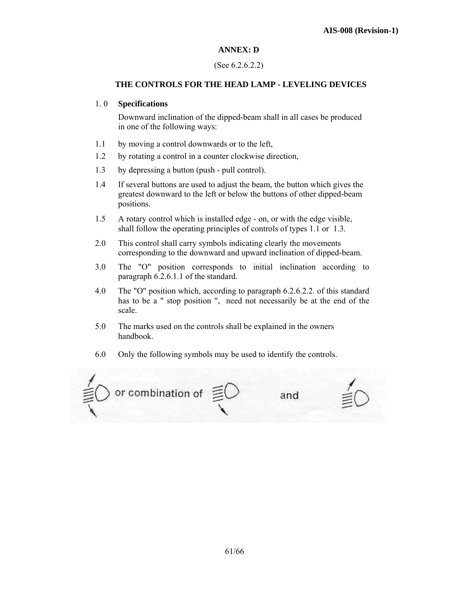## **ANNEX: D**

### (See 6.2.6.2.2)

### **THE CONTROLS FOR THE HEAD LAMP - LEVELING DEVICES**

#### 1. 0 **Specifications**

 Downward inclination of the dipped-beam shall in all cases be produced in one of the following ways:

- 1.1 by moving a control downwards or to the left,
- 1.2 by rotating a control in a counter clockwise direction,
- 1.3 by depressing a button (push pull control).
- 1.4 If several buttons are used to adjust the beam, the button which gives the greatest downward to the left or below the buttons of other dipped-beam positions.
- 1.5 A rotary control which is installed edge on, or with the edge visible, shall follow the operating principles of controls of types 1.1 or 1.3.
- 2.0 This control shall carry symbols indicating clearly the movements corresponding to the downward and upward inclination of dipped-beam.
- 3.0 The "O" position corresponds to initial inclination according to paragraph 6.2.6.1.1 of the standard.
- 4.0 The "O" position which, according to paragraph 6.2.6.2.2. of this standard has to be a " stop position ", need not necessarily be at the end of the scale.
- 5.0 The marks used on the controls shall be explained in the owners handbook.
- 6.0 Only the following symbols may be used to identify the controls.

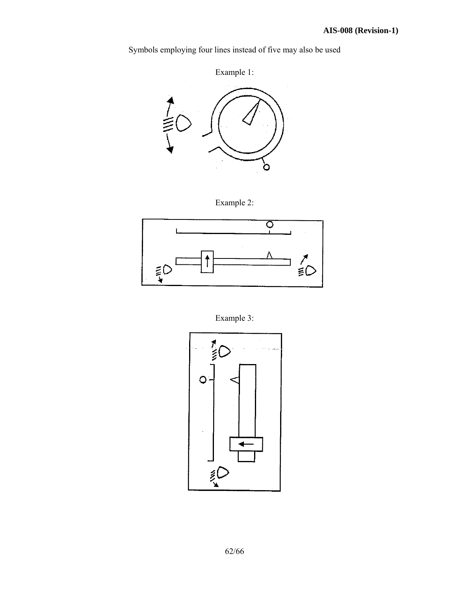Symbols employing four lines instead of five may also be used

Example 1:



Example 2:



Example 3:

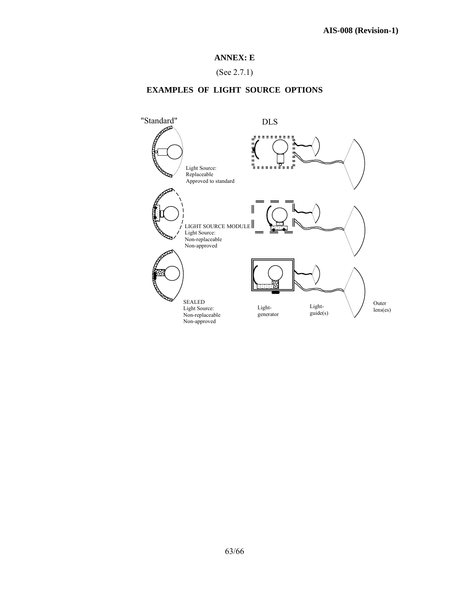## **ANNEX: E**

(See 2.7.1)

# **EXAMPLES OF LIGHT SOURCE OPTIONS**

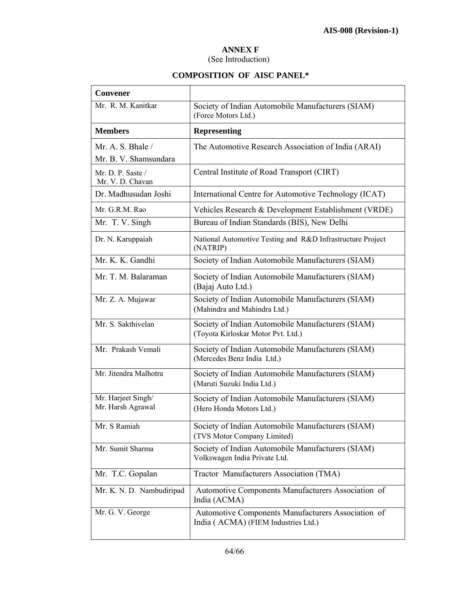## **ANNEX F**

(See Introduction)

# **COMPOSITION OF AISC PANEL\***

| Convener                                        |                                                                                           |
|-------------------------------------------------|-------------------------------------------------------------------------------------------|
| Mr. R. M. Kanitkar                              | Society of Indian Automobile Manufacturers (SIAM)<br>(Force Motors Ltd.)                  |
| <b>Members</b>                                  | <b>Representing</b>                                                                       |
| Mr. A. S. Bhale $\ell$<br>Mr. B. V. Shamsundara | The Automotive Research Association of India (ARAI)                                       |
| Mr. D. P. Saste /<br>Mr. V. D. Chavan           | Central Institute of Road Transport (CIRT)                                                |
| Dr. Madhusudan Joshi                            | International Centre for Automotive Technology (ICAT)                                     |
| Mr. G.R.M. Rao                                  | Vehicles Research & Development Establishment (VRDE)                                      |
| Mr. T. V. Singh                                 | Bureau of Indian Standards (BIS), New Delhi                                               |
| Dr. N. Karuppaiah                               | National Automotive Testing and R&D Infrastructure Project<br>(NATRIP)                    |
| Mr. K. K. Gandhi                                | Society of Indian Automobile Manufacturers (SIAM)                                         |
| Mr. T. M. Balaraman                             | Society of Indian Automobile Manufacturers (SIAM)<br>(Bajaj Auto Ltd.)                    |
| Mr. Z. A. Mujawar                               | Society of Indian Automobile Manufacturers (SIAM)<br>(Mahindra and Mahindra Ltd.)         |
| Mr. S. Sakthivelan                              | Society of Indian Automobile Manufacturers (SIAM)<br>(Toyota Kirloskar Motor Pvt. Ltd.)   |
| Mr. Prakash Vemali                              | Society of Indian Automobile Manufacturers (SIAM)<br>(Mercedes Benz India Ltd.)           |
| Mr. Jitendra Malhotra                           | Society of Indian Automobile Manufacturers (SIAM)<br>(Maruti Suzuki India Ltd.)           |
| Mr. Harjeet Singh/<br>Mr. Harsh Agrawal         | Society of Indian Automobile Manufacturers (SIAM)<br>(Hero Honda Motors Ltd.)             |
| Mr. S Ramiah                                    | Society of Indian Automobile Manufacturers (SIAM)<br>(TVS Motor Company Limited)          |
| Mr. Sumit Sharma                                | Society of Indian Automobile Manufacturers (SIAM)<br>Volkswagen India Private Ltd.        |
| Mr. T.C. Gopalan                                | Tractor Manufacturers Association (TMA)                                                   |
| Mr. K. N. D. Nambudiripad                       | Automotive Components Manufacturers Association of<br>India (ACMA)                        |
| Mr. G. V. George                                | Automotive Components Manufacturers Association of<br>India (ACMA) (FIEM Industries Ltd.) |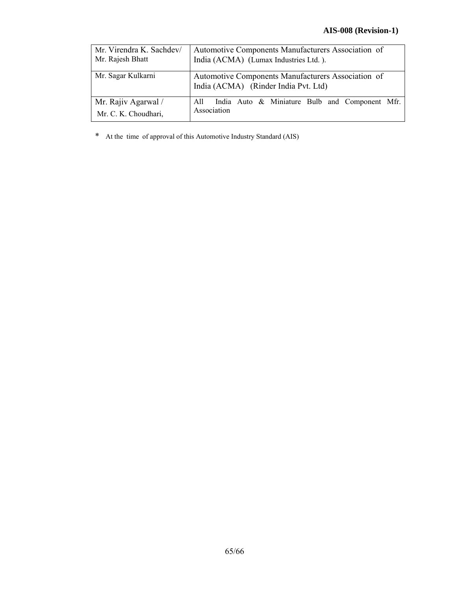# **AIS-008 (Revision-1)**

| Mr. Virendra K. Sachdev/<br>Mr. Rajesh Bhatt | Automotive Components Manufacturers Association of<br>India (ACMA) (Lumax Industries Ltd.). |
|----------------------------------------------|---------------------------------------------------------------------------------------------|
| Mr. Sagar Kulkarni                           | Automotive Components Manufacturers Association of<br>India (ACMA) (Rinder India Pvt. Ltd)  |
| Mr. Rajiv Agarwal /<br>Mr. C. K. Choudhari,  | India Auto & Miniature Bulb and Component Mfr.<br>All<br>Association                        |

\* At the time of approval of this Automotive Industry Standard (AIS)